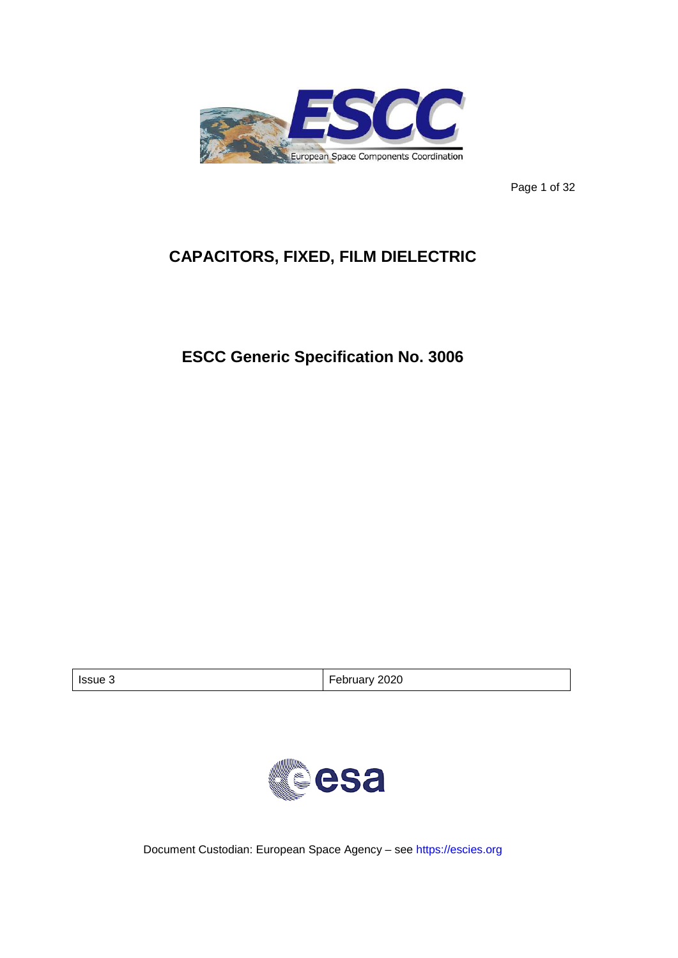

Page 1 of 32

# **CAPACITORS, FIXED, FILM DIELECTRIC**

# **ESCC Generic Specification No. 3006**

| Issue 3 | February 2020 |
|---------|---------------|
|         |               |



Document Custodian: European Space Agency – see [https://escies.org](https://escies.org/)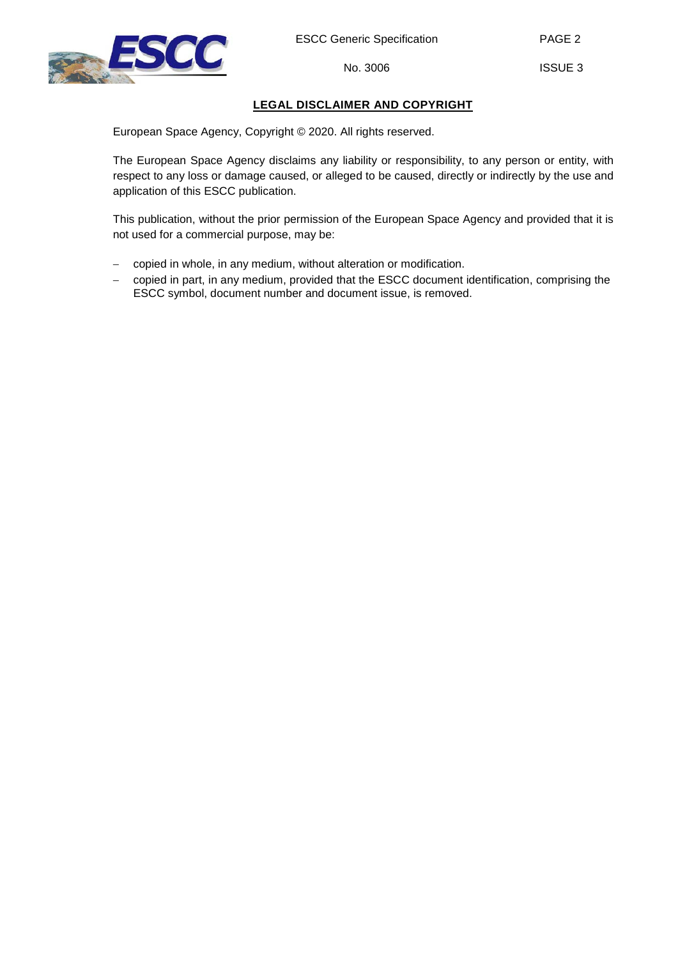

PAGE 2

## **LEGAL DISCLAIMER AND COPYRIGHT**

European Space Agency, Copyright © 2020. All rights reserved.

The European Space Agency disclaims any liability or responsibility, to any person or entity, with respect to any loss or damage caused, or alleged to be caused, directly or indirectly by the use and application of this ESCC publication.

This publication, without the prior permission of the European Space Agency and provided that it is not used for a commercial purpose, may be:

- − copied in whole, in any medium, without alteration or modification.
- copied in part, in any medium, provided that the ESCC document identification, comprising the ESCC symbol, document number and document issue, is removed.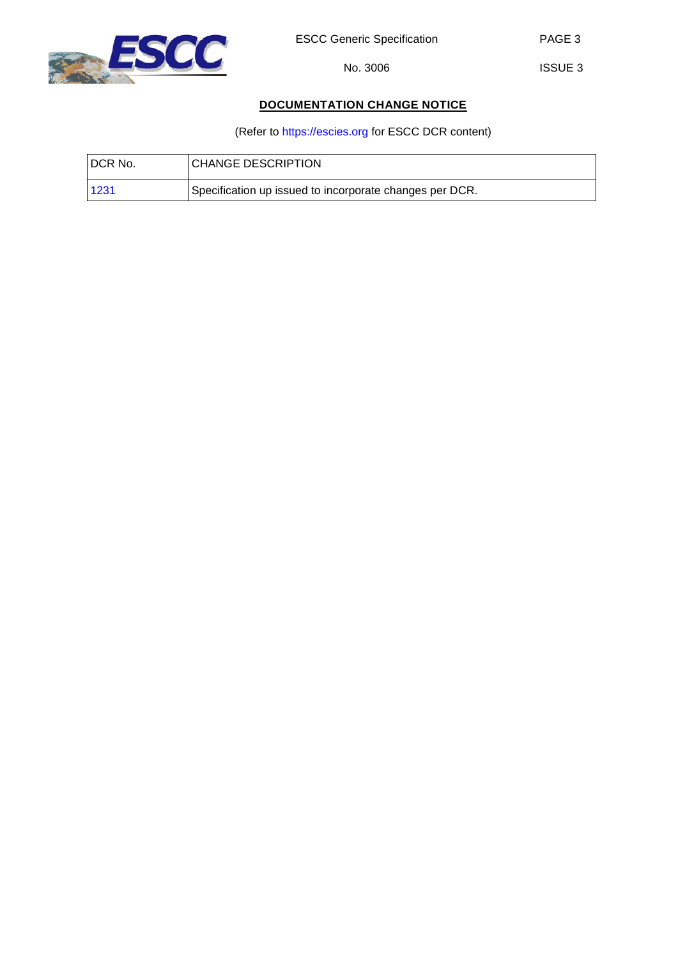

ISSUE 3

## **DOCUMENTATION CHANGE NOTICE**

(Refer to [https://escies.org](https://escies.org/) for ESCC DCR content)

| DCR No. | <b>CHANGE DESCRIPTION</b>                               |
|---------|---------------------------------------------------------|
| 1231    | Specification up issued to incorporate changes per DCR. |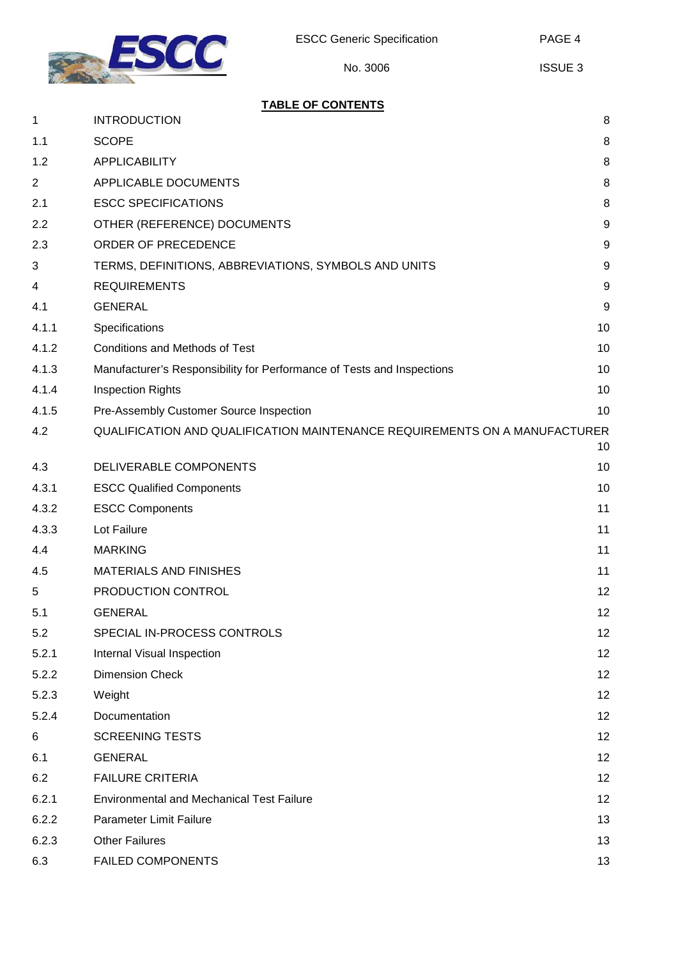

## **TABLE OF CONTENTS**

| $\mathbf 1$    | <b>INTRODUCTION</b>                                                        | 8                |
|----------------|----------------------------------------------------------------------------|------------------|
| 1.1            | <b>SCOPE</b>                                                               | 8                |
| 1.2            | <b>APPLICABILITY</b>                                                       | 8                |
| $\overline{2}$ | APPLICABLE DOCUMENTS                                                       | $\, 8$           |
| 2.1            | <b>ESCC SPECIFICATIONS</b>                                                 | 8                |
| 2.2            | OTHER (REFERENCE) DOCUMENTS                                                | $\boldsymbol{9}$ |
| 2.3            | ORDER OF PRECEDENCE                                                        | $9\,$            |
| 3              | TERMS, DEFINITIONS, ABBREVIATIONS, SYMBOLS AND UNITS                       | $9\,$            |
| 4              | <b>REQUIREMENTS</b>                                                        | $9\,$            |
| 4.1            | <b>GENERAL</b>                                                             | 9                |
| 4.1.1          | Specifications                                                             | 10               |
| 4.1.2          | <b>Conditions and Methods of Test</b>                                      | 10               |
| 4.1.3          | Manufacturer's Responsibility for Performance of Tests and Inspections     | 10               |
| 4.1.4          | <b>Inspection Rights</b>                                                   | 10               |
| 4.1.5          | Pre-Assembly Customer Source Inspection                                    | 10               |
| 4.2            | QUALIFICATION AND QUALIFICATION MAINTENANCE REQUIREMENTS ON A MANUFACTURER | 10               |
| 4.3            | DELIVERABLE COMPONENTS                                                     | 10               |
| 4.3.1          | <b>ESCC Qualified Components</b>                                           | 10               |
| 4.3.2          | <b>ESCC Components</b>                                                     | 11               |
| 4.3.3          | Lot Failure                                                                | 11               |
| 4.4            | <b>MARKING</b>                                                             | 11               |
| 4.5            | <b>MATERIALS AND FINISHES</b>                                              | 11               |
| 5              | PRODUCTION CONTROL                                                         | 12               |
| 5.1            | <b>GENERAL</b>                                                             | 12               |
| 5.2            | SPECIAL IN-PROCESS CONTROLS                                                | 12               |
| 5.2.1          | Internal Visual Inspection                                                 | 12               |
| 5.2.2          | <b>Dimension Check</b>                                                     | 12               |
| 5.2.3          | Weight                                                                     | 12               |
| 5.2.4          | Documentation                                                              | 12               |
| 6              | <b>SCREENING TESTS</b>                                                     | 12               |
| 6.1            | <b>GENERAL</b>                                                             | 12               |
| 6.2            | <b>FAILURE CRITERIA</b>                                                    | 12               |
| 6.2.1          | <b>Environmental and Mechanical Test Failure</b>                           | 12               |
| 6.2.2          | <b>Parameter Limit Failure</b>                                             | 13               |
| 6.2.3          | <b>Other Failures</b>                                                      | 13               |
| 6.3            | <b>FAILED COMPONENTS</b>                                                   | 13               |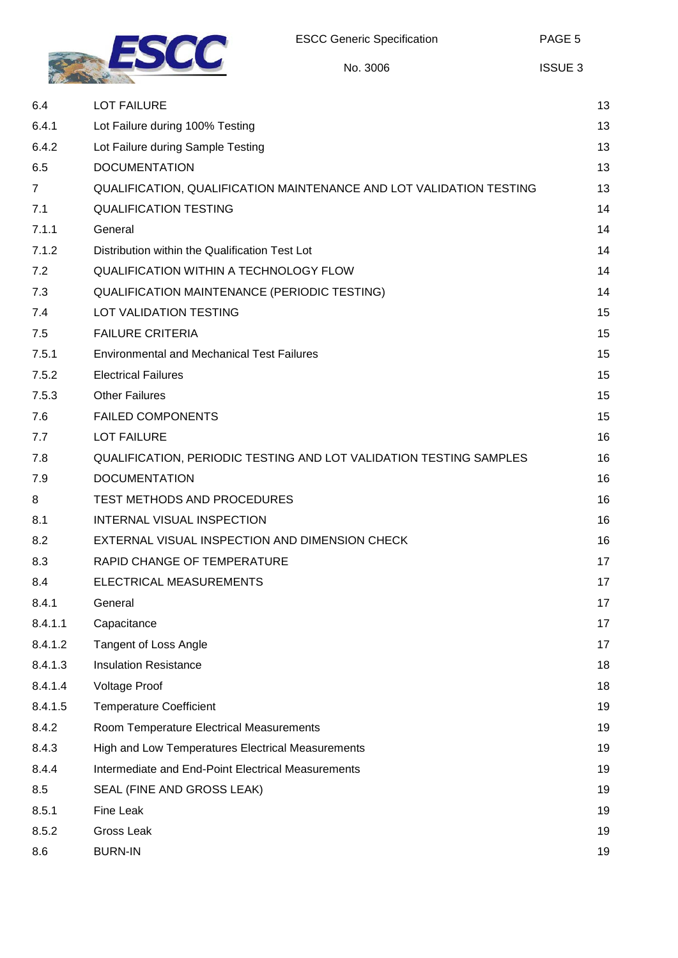

| 6.4            | <b>LOT FAILURE</b>                                                  | 13       |
|----------------|---------------------------------------------------------------------|----------|
|                |                                                                     | 13       |
| 6.4.1<br>6.4.2 | Lot Failure during 100% Testing                                     | 13       |
| 6.5            | Lot Failure during Sample Testing<br><b>DOCUMENTATION</b>           | 13       |
|                |                                                                     |          |
| 7              | QUALIFICATION, QUALIFICATION MAINTENANCE AND LOT VALIDATION TESTING | 13<br>14 |
| 7.1            | <b>QUALIFICATION TESTING</b>                                        | 14       |
| 7.1.1<br>7.1.2 | General<br>Distribution within the Qualification Test Lot           | 14       |
| 7.2            | <b>QUALIFICATION WITHIN A TECHNOLOGY FLOW</b>                       | 14       |
| 7.3            |                                                                     | 14       |
|                | QUALIFICATION MAINTENANCE (PERIODIC TESTING)                        | 15       |
| 7.4            | LOT VALIDATION TESTING                                              |          |
| 7.5            | <b>FAILURE CRITERIA</b>                                             | 15       |
| 7.5.1          | <b>Environmental and Mechanical Test Failures</b>                   | 15       |
| 7.5.2          | <b>Electrical Failures</b>                                          | 15       |
| 7.5.3          | <b>Other Failures</b>                                               | 15       |
| 7.6            | <b>FAILED COMPONENTS</b>                                            | 15       |
| 7.7            | <b>LOT FAILURE</b>                                                  | 16       |
| 7.8            | QUALIFICATION, PERIODIC TESTING AND LOT VALIDATION TESTING SAMPLES  | 16       |
| 7.9            | <b>DOCUMENTATION</b>                                                | 16       |
| 8              | TEST METHODS AND PROCEDURES                                         | 16       |
| 8.1            | INTERNAL VISUAL INSPECTION                                          | 16       |
| 8.2            | EXTERNAL VISUAL INSPECTION AND DIMENSION CHECK                      | 16       |
| 8.3            | RAPID CHANGE OF TEMPERATURE                                         | 17       |
| 8.4            | ELECTRICAL MEASUREMENTS                                             | 17       |
| 8.4.1          | General                                                             | 17       |
| 8.4.1.1        | Capacitance                                                         | 17       |
| 8.4.1.2        | <b>Tangent of Loss Angle</b>                                        | 17       |
| 8.4.1.3        | <b>Insulation Resistance</b>                                        | 18       |
| 8.4.1.4        | <b>Voltage Proof</b>                                                | 18       |
| 8.4.1.5        | <b>Temperature Coefficient</b>                                      | 19       |
| 8.4.2          | Room Temperature Electrical Measurements                            | 19       |
| 8.4.3          | High and Low Temperatures Electrical Measurements                   | 19       |
| 8.4.4          | Intermediate and End-Point Electrical Measurements                  | 19       |
| 8.5            | SEAL (FINE AND GROSS LEAK)                                          | 19       |
| 8.5.1          | Fine Leak                                                           | 19       |
| 8.5.2          | Gross Leak                                                          | 19       |
| 8.6            | <b>BURN-IN</b>                                                      | 19       |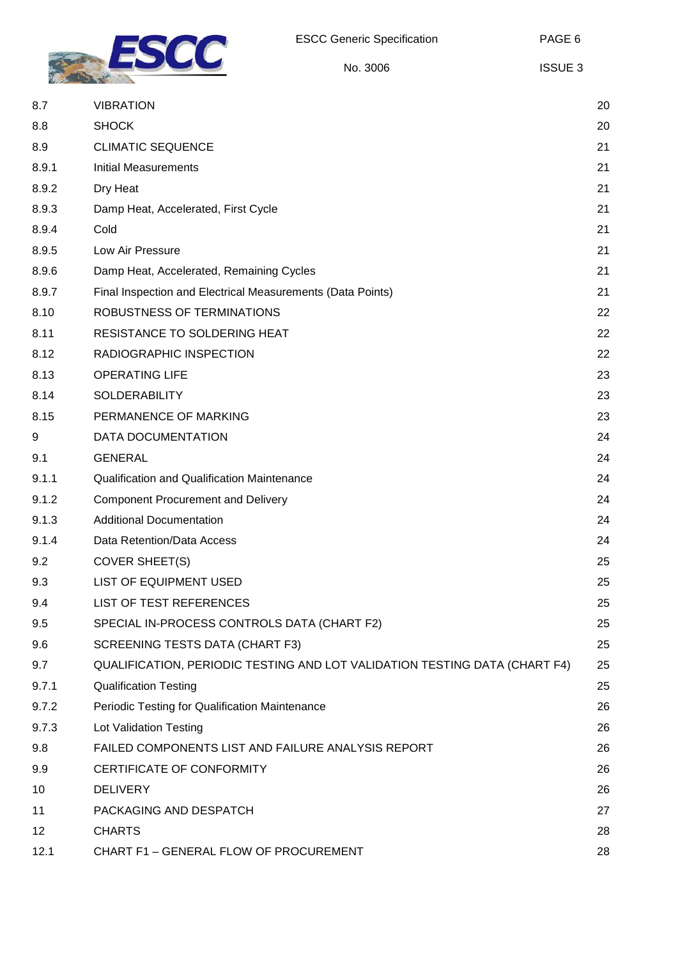

| 8.7   | <b>VIBRATION</b>                                                           | 20 |
|-------|----------------------------------------------------------------------------|----|
| 8.8   | <b>SHOCK</b>                                                               | 20 |
| 8.9   | <b>CLIMATIC SEQUENCE</b>                                                   | 21 |
| 8.9.1 | <b>Initial Measurements</b>                                                | 21 |
| 8.9.2 | Dry Heat                                                                   | 21 |
| 8.9.3 | Damp Heat, Accelerated, First Cycle                                        | 21 |
| 8.9.4 | Cold                                                                       | 21 |
| 8.9.5 | Low Air Pressure                                                           | 21 |
| 8.9.6 | Damp Heat, Accelerated, Remaining Cycles                                   | 21 |
| 8.9.7 | Final Inspection and Electrical Measurements (Data Points)                 | 21 |
| 8.10  | ROBUSTNESS OF TERMINATIONS                                                 | 22 |
| 8.11  | RESISTANCE TO SOLDERING HEAT                                               | 22 |
| 8.12  | RADIOGRAPHIC INSPECTION                                                    | 22 |
| 8.13  | <b>OPERATING LIFE</b>                                                      | 23 |
| 8.14  | <b>SOLDERABILITY</b>                                                       | 23 |
| 8.15  | PERMANENCE OF MARKING                                                      | 23 |
| 9     | DATA DOCUMENTATION                                                         | 24 |
| 9.1   | <b>GENERAL</b>                                                             | 24 |
| 9.1.1 | <b>Qualification and Qualification Maintenance</b>                         | 24 |
| 9.1.2 | <b>Component Procurement and Delivery</b>                                  | 24 |
| 9.1.3 | <b>Additional Documentation</b>                                            | 24 |
| 9.1.4 | Data Retention/Data Access                                                 | 24 |
| 9.2   | <b>COVER SHEET(S)</b>                                                      | 25 |
| 9.3   | <b>LIST OF EQUIPMENT USED</b>                                              | 25 |
| 9.4   | LIST OF TEST REFERENCES                                                    | 25 |
| 9.5   | SPECIAL IN-PROCESS CONTROLS DATA (CHART F2)                                | 25 |
| 9.6   | SCREENING TESTS DATA (CHART F3)                                            | 25 |
| 9.7   | QUALIFICATION, PERIODIC TESTING AND LOT VALIDATION TESTING DATA (CHART F4) | 25 |
| 9.7.1 | <b>Qualification Testing</b>                                               | 25 |
| 9.7.2 | Periodic Testing for Qualification Maintenance                             | 26 |
| 9.7.3 | <b>Lot Validation Testing</b>                                              | 26 |
| 9.8   | FAILED COMPONENTS LIST AND FAILURE ANALYSIS REPORT                         | 26 |
| 9.9   | CERTIFICATE OF CONFORMITY                                                  | 26 |
| 10    | <b>DELIVERY</b>                                                            | 26 |
| 11    | PACKAGING AND DESPATCH                                                     | 27 |
| 12    | <b>CHARTS</b>                                                              | 28 |
| 12.1  | CHART F1 - GENERAL FLOW OF PROCUREMENT                                     | 28 |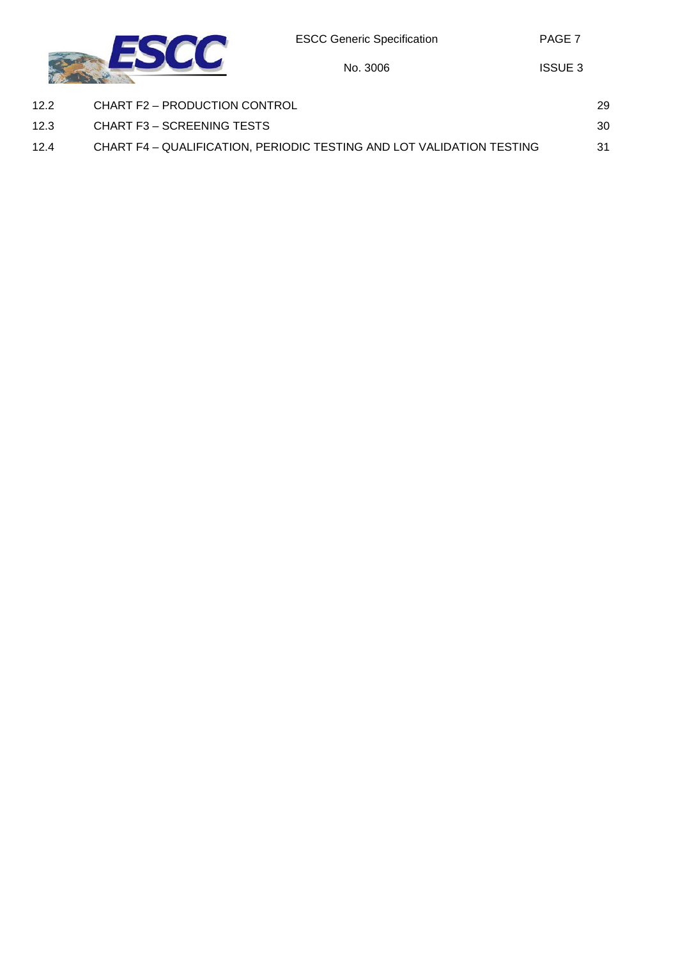No. 3006



| 12.2 | CHART F2 - PRODUCTION CONTROL                                         | 29 |
|------|-----------------------------------------------------------------------|----|
| 12.3 | CHART F3 – SCREENING TESTS                                            | 30 |
| 12.4 | CHART F4 - QUALIFICATION, PERIODIC TESTING AND LOT VALIDATION TESTING | 31 |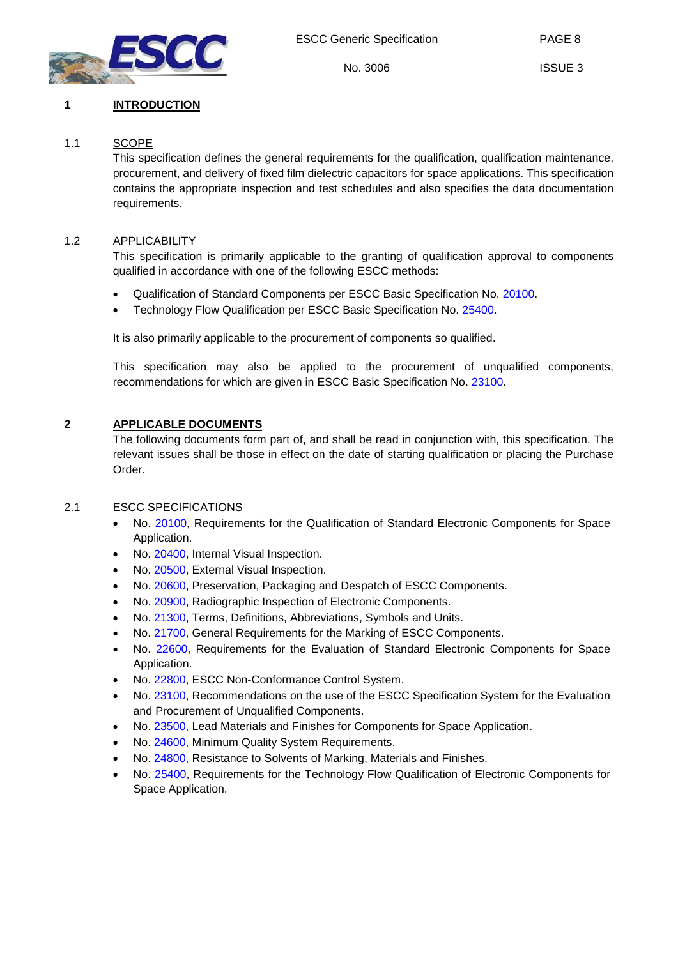

PAGE 8

## <span id="page-7-1"></span><span id="page-7-0"></span>**1 INTRODUCTION**

## 1.1 SCOPE

This specification defines the general requirements for the qualification, qualification maintenance, procurement, and delivery of fixed film dielectric capacitors for space applications. This specification contains the appropriate inspection and test schedules and also specifies the data documentation requirements.

## <span id="page-7-2"></span>1.2 APPLICABILITY

This specification is primarily applicable to the granting of qualification approval to components qualified in accordance with one of the following ESCC methods:

- Qualification of Standard Components per ESCC Basic Specification No. [20100.](http://escies.org/escc-specs/published/20100.pdf)
- Technology Flow Qualification per ESCC Basic Specification No. [25400.](http://escies.org/escc-specs/published/25400.pdf)

It is also primarily applicable to the procurement of components so qualified.

This specification may also be applied to the procurement of unqualified components, recommendations for which are given in ESCC Basic Specification No. [23100.](http://escies.org/escc-specs/published/23100.pdf)

## <span id="page-7-3"></span>**2 APPLICABLE DOCUMENTS**

The following documents form part of, and shall be read in conjunction with, this specification. The relevant issues shall be those in effect on the date of starting qualification or placing the Purchase Order.

## <span id="page-7-4"></span>2.1 ESCC SPECIFICATIONS

- No. [20100,](http://escies.org/escc-specs/published/20100.pdf) Requirements for the Qualification of Standard Electronic Components for Space Application.
- No. [20400,](http://escies.org/escc-specs/published/20400.pdf) Internal Visual Inspection.
- No. [20500,](http://escies.org/escc-specs/published/20500.pdf) External Visual Inspection.
- No. [20600,](http://escies.org/escc-specs/published/20600.pdf) Preservation, Packaging and Despatch of ESCC Components.
- No. [20900,](http://escies.org/escc-specs/published/20900.pdf) Radiographic Inspection of Electronic Components.
- No. [21300,](http://escies.org/escc-specs/published/21300.pdf) Terms, Definitions, Abbreviations, Symbols and Units.
- No. [21700,](http://escies.org/escc-specs/published/21700.pdf) General Requirements for the Marking of ESCC Components.
- No. [22600,](http://escies.org/escc-specs/published/22600.pdf) Requirements for the Evaluation of Standard Electronic Components for Space Application.
- No. [22800,](http://escies.org/escc-specs/published/22800.pdf) ESCC Non-Conformance Control System.
- No. [23100,](http://escies.org/escc-specs/published/23100.pdf) Recommendations on the use of the ESCC Specification System for the Evaluation and Procurement of Unqualified Components.
- No. [23500,](http://escies.org/escc-specs/published/23500.pdf) Lead Materials and Finishes for Components for Space Application.
- No. [24600,](http://escies.org/escc-specs/published/24600.pdf) Minimum Quality System Requirements.
- No. [24800,](http://escies.org/escc-specs/published/24800.pdf) Resistance to Solvents of Marking, Materials and Finishes.
- No. [25400,](http://escies.org/escc-specs/published/25400.pdf) Requirements for the Technology Flow Qualification of Electronic Components for Space Application.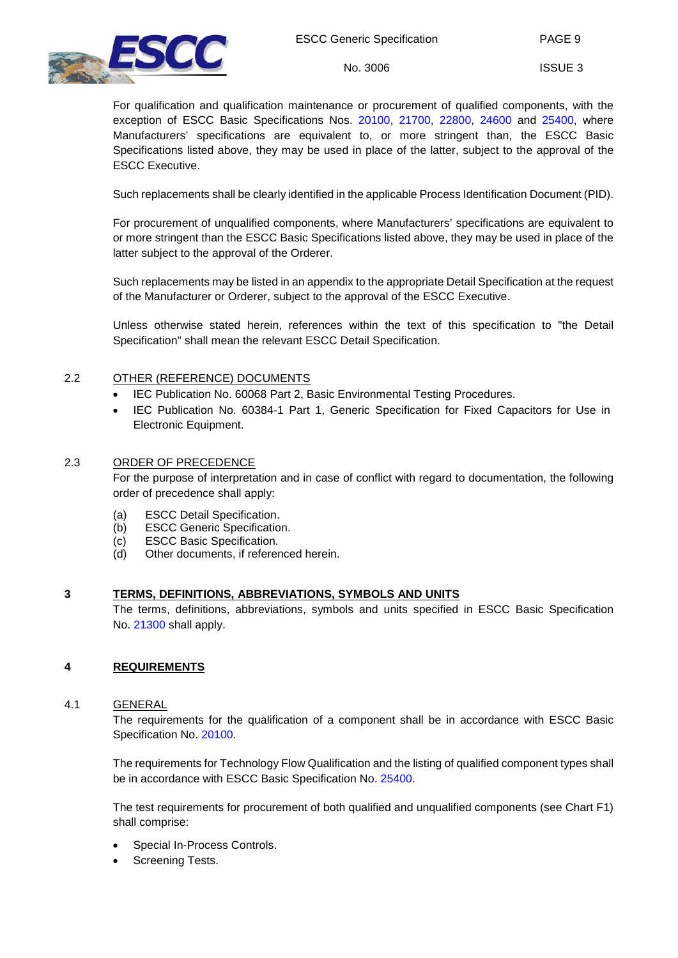

ISSUE 3

For qualification and qualification maintenance or procurement of qualified components, with the exception of ESCC Basic Specifications Nos. [20100,](http://escies.org/escc-specs/published/20100.pdf) [21700,](http://escies.org/escc-specs/published/21700.pdf) [22800,](http://escies.org/escc-specs/published/22800.pdf) [24600](http://escies.org/escc-specs/published/24600.pdf) and [25400,](http://escies.org/escc-specs/published/25400.pdf) where Manufacturers' specifications are equivalent to, or more stringent than, the ESCC Basic Specifications listed above, they may be used in place of the latter, subject to the approval of the ESCC Executive.

Such replacements shall be clearly identified in the applicable Process Identification Document (PID).

For procurement of unqualified components, where Manufacturers' specifications are equivalent to or more stringent than the ESCC Basic Specifications listed above, they may be used in place of the latter subject to the approval of the Orderer.

Such replacements may be listed in an appendix to the appropriate Detail Specification at the request of the Manufacturer or Orderer, subject to the approval of the ESCC Executive.

Unless otherwise stated herein, references within the text of this specification to "the Detail Specification" shall mean the relevant ESCC Detail Specification.

## <span id="page-8-0"></span>2.2 OTHER (REFERENCE) DOCUMENTS

- IEC Publication No. 60068 Part 2, Basic Environmental Testing Procedures.
- IEC Publication No. 60384-1 Part 1, Generic Specification for Fixed Capacitors for Use in Electronic Equipment.

## <span id="page-8-1"></span>2.3 ORDER OF PRECEDENCE

For the purpose of interpretation and in case of conflict with regard to documentation, the following order of precedence shall apply:

- (a) ESCC Detail Specification.<br>(b) ESCC Generic Specificatio
- **ESCC Generic Specification.**
- (c) ESCC Basic Specification.
- (d) Other documents, if referenced herein.

## <span id="page-8-2"></span>**3 TERMS, DEFINITIONS, ABBREVIATIONS, SYMBOLS AND UNITS**

The terms, definitions, abbreviations, symbols and units specified in ESCC Basic Specification No. [21300](http://escies.org/escc-specs/published/21300.pdf) shall apply.

## <span id="page-8-4"></span><span id="page-8-3"></span>**4 REQUIREMENTS**

## 4.1 GENERAL

The requirements for the qualification of a component shall be in accordance with ESCC Basic Specification No. [20100.](http://escies.org/escc-specs/published/20100.pdf)

The requirements for Technology Flow Qualification and the listing of qualified component types shall be in accordance with ESCC Basic Specification No. [25400.](http://escies.org/escc-specs/published/25400.pdf)

The test requirements for procurement of both qualified and unqualified components (see Chart F1) shall comprise:

- Special In-Process Controls.
- Screening Tests.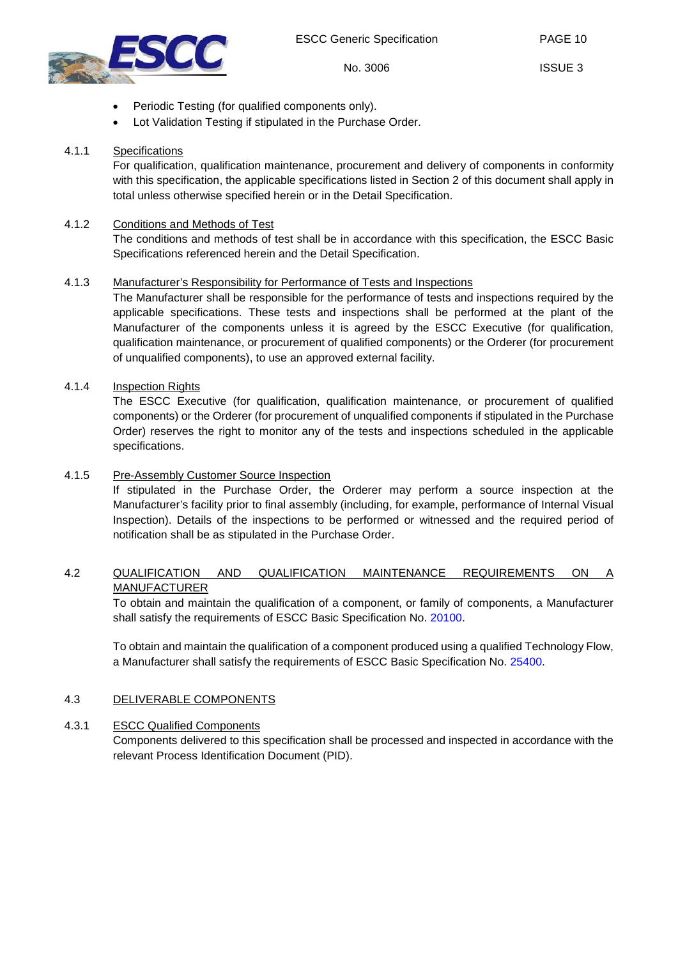

- Periodic Testing (for qualified components only).
- Lot Validation Testing if stipulated in the Purchase Order.

## <span id="page-9-0"></span>4.1.1 Specifications

For qualification, qualification maintenance, procurement and delivery of components in conformity with this specification, the applicable specifications listed in Section [2](#page-7-3) of this document shall apply in total unless otherwise specified herein or in the Detail Specification.

## <span id="page-9-1"></span>4.1.2 Conditions and Methods of Test

The conditions and methods of test shall be in accordance with this specification, the ESCC Basic Specifications referenced herein and the Detail Specification.

## <span id="page-9-2"></span>4.1.3 Manufacturer's Responsibility for Performance of Tests and Inspections

The Manufacturer shall be responsible for the performance of tests and inspections required by the applicable specifications. These tests and inspections shall be performed at the plant of the Manufacturer of the components unless it is agreed by the ESCC Executive (for qualification, qualification maintenance, or procurement of qualified components) or the Orderer (for procurement of unqualified components), to use an approved external facility.

## <span id="page-9-3"></span>4.1.4 Inspection Rights

The ESCC Executive (for qualification, qualification maintenance, or procurement of qualified components) or the Orderer (for procurement of unqualified components if stipulated in the Purchase Order) reserves the right to monitor any of the tests and inspections scheduled in the applicable specifications.

## <span id="page-9-4"></span>4.1.5 Pre-Assembly Customer Source Inspection

If stipulated in the Purchase Order, the Orderer may perform a source inspection at the Manufacturer's facility prior to final assembly (including, for example, performance of Internal Visual Inspection). Details of the inspections to be performed or witnessed and the required period of notification shall be as stipulated in the Purchase Order.

## <span id="page-9-5"></span>4.2 QUALIFICATION AND QUALIFICATION MAINTENANCE REQUIREMENTS ON A MANUFACTURER

To obtain and maintain the qualification of a component, or family of components, a Manufacturer shall satisfy the requirements of ESCC Basic Specification No. [20100.](http://escies.org/escc-specs/published/20100.pdf)

To obtain and maintain the qualification of a component produced using a qualified Technology Flow, a Manufacturer shall satisfy the requirements of ESCC Basic Specification No. [25400.](http://escies.org/escc-specs/published/25400.pdf)

## <span id="page-9-6"></span>4.3 DELIVERABLE COMPONENTS

## <span id="page-9-7"></span>4.3.1 ESCC Qualified Components

Components delivered to this specification shall be processed and inspected in accordance with the relevant Process Identification Document (PID).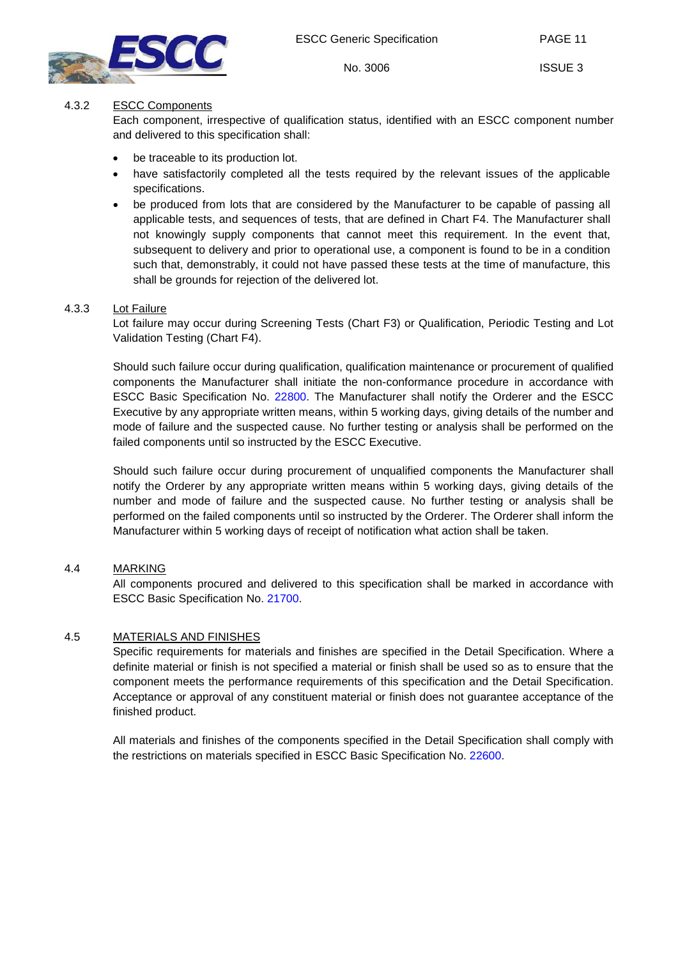



## <span id="page-10-0"></span>4.3.2 ESCC Components

Each component, irrespective of qualification status, identified with an ESCC component number and delivered to this specification shall:

- be traceable to its production lot.
- have satisfactorily completed all the tests required by the relevant issues of the applicable specifications.
- be produced from lots that are considered by the Manufacturer to be capable of passing all applicable tests, and sequences of tests, that are defined in Chart F4. The Manufacturer shall not knowingly supply components that cannot meet this requirement. In the event that, subsequent to delivery and prior to operational use, a component is found to be in a condition such that, demonstrably, it could not have passed these tests at the time of manufacture, this shall be grounds for rejection of the delivered lot.

#### <span id="page-10-1"></span>4.3.3 Lot Failure

Lot failure may occur during Screening Tests (Chart F3) or Qualification, Periodic Testing and Lot Validation Testing (Chart F4).

Should such failure occur during qualification, qualification maintenance or procurement of qualified components the Manufacturer shall initiate the non-conformance procedure in accordance with ESCC Basic Specification No. [22800.](http://escies.org/escc-specs/published/22800.pdf) The Manufacturer shall notify the Orderer and the ESCC Executive by any appropriate written means, within 5 working days, giving details of the number and mode of failure and the suspected cause. No further testing or analysis shall be performed on the failed components until so instructed by the ESCC Executive.

Should such failure occur during procurement of unqualified components the Manufacturer shall notify the Orderer by any appropriate written means within 5 working days, giving details of the number and mode of failure and the suspected cause. No further testing or analysis shall be performed on the failed components until so instructed by the Orderer. The Orderer shall inform the Manufacturer within 5 working days of receipt of notification what action shall be taken.

## <span id="page-10-2"></span>4.4 MARKING

All components procured and delivered to this specification shall be marked in accordance with ESCC Basic Specification No. [21700.](http://escies.org/escc-specs/published/21700.pdf)

## <span id="page-10-3"></span>4.5 MATERIALS AND FINISHES

Specific requirements for materials and finishes are specified in the Detail Specification. Where a definite material or finish is not specified a material or finish shall be used so as to ensure that the component meets the performance requirements of this specification and the Detail Specification. Acceptance or approval of any constituent material or finish does not guarantee acceptance of the finished product.

All materials and finishes of the components specified in the Detail Specification shall comply with the restrictions on materials specified in ESCC Basic Specification No. [22600.](http://escies.org/escc-specs/published/22600.pdf)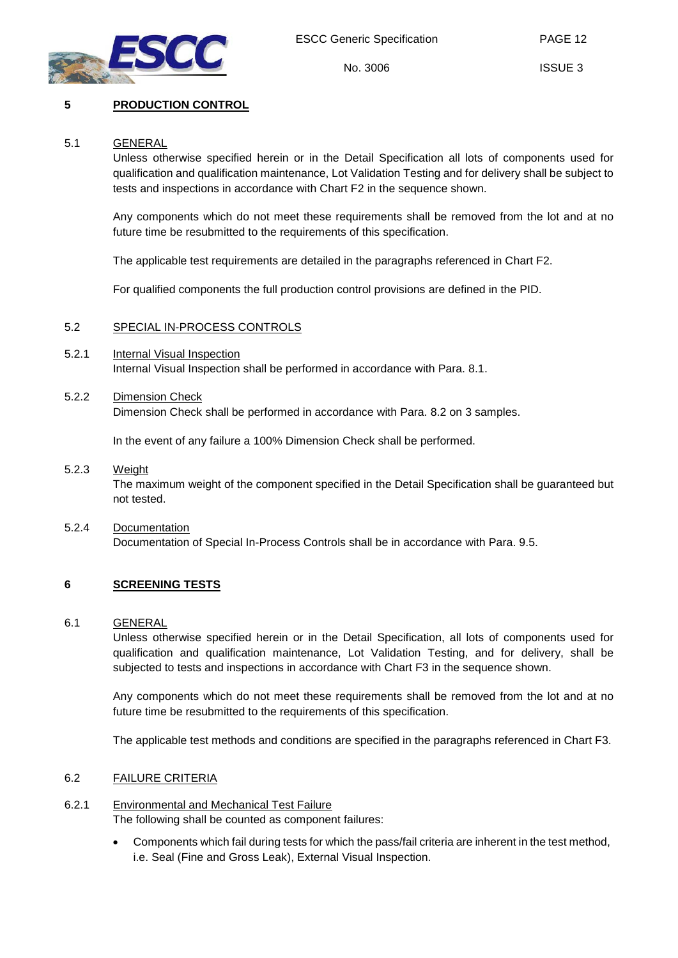

PAGE 12

ISSUE 3

## <span id="page-11-1"></span><span id="page-11-0"></span>**5 PRODUCTION CONTROL**

## 5.1 GENERAL

Unless otherwise specified herein or in the Detail Specification all lots of components used for qualification and qualification maintenance, Lot Validation Testing and for delivery shall be subject to tests and inspections in accordance with Chart F2 in the sequence shown.

Any components which do not meet these requirements shall be removed from the lot and at no future time be resubmitted to the requirements of this specification.

The applicable test requirements are detailed in the paragraphs referenced in Chart F2.

For qualified components the full production control provisions are defined in the PID.

## <span id="page-11-2"></span>5.2 SPECIAL IN-PROCESS CONTROLS

<span id="page-11-3"></span>5.2.1 Internal Visual Inspection Internal Visual Inspection shall be performed in accordance with Para. [8.1.](#page-15-4)

## <span id="page-11-4"></span>5.2.2 Dimension Check

Dimension Check shall be performed in accordance with Para. [8.2](#page-15-5) on 3 samples.

In the event of any failure a 100% Dimension Check shall be performed.

- <span id="page-11-5"></span>5.2.3 Weight The maximum weight of the component specified in the Detail Specification shall be guaranteed but not tested.
- <span id="page-11-6"></span>5.2.4 Documentation Documentation of Special In-Process Controls shall be in accordance with Para. [9.5.](#page-24-3)

## <span id="page-11-8"></span><span id="page-11-7"></span>**6 SCREENING TESTS**

#### 6.1 GENERAL

Unless otherwise specified herein or in the Detail Specification, all lots of components used for qualification and qualification maintenance, Lot Validation Testing, and for delivery, shall be subjected to tests and inspections in accordance with Chart F3 in the sequence shown.

Any components which do not meet these requirements shall be removed from the lot and at no future time be resubmitted to the requirements of this specification.

The applicable test methods and conditions are specified in the paragraphs referenced in Chart F3.

## <span id="page-11-9"></span>6.2 FAILURE CRITERIA

- <span id="page-11-10"></span>6.2.1 Environmental and Mechanical Test Failure The following shall be counted as component failures:
	- Components which fail during tests for which the pass/fail criteria are inherent in the test method, i.e. Seal (Fine and Gross Leak), External Visual Inspection.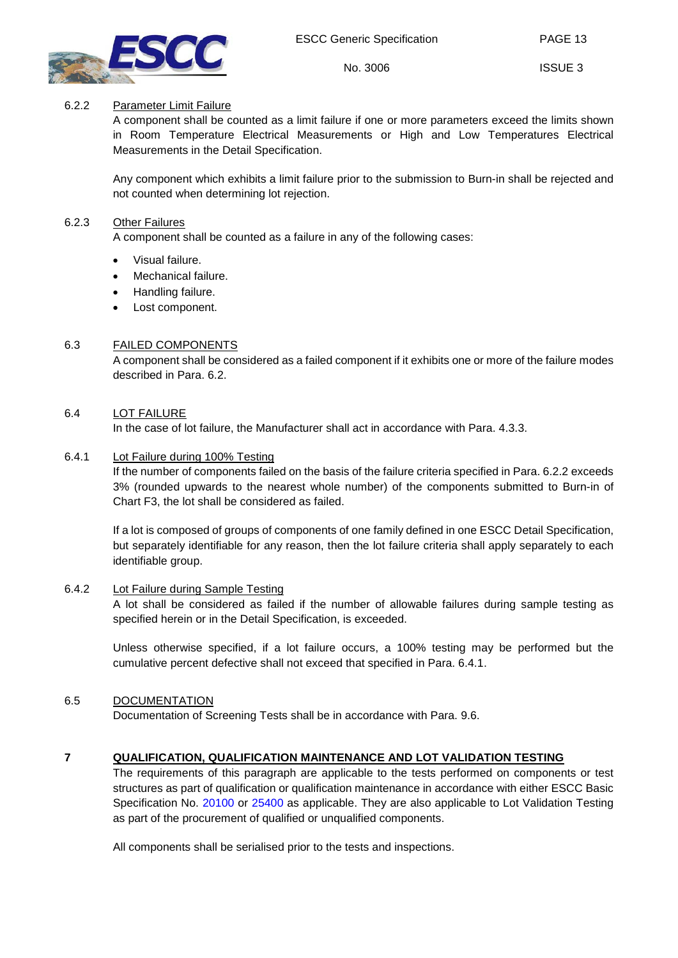

PAGE 13

ISSUE 3

## <span id="page-12-0"></span>6.2.2 Parameter Limit Failure

A component shall be counted as a limit failure if one or more parameters exceed the limits shown in Room Temperature Electrical Measurements or High and Low Temperatures Electrical Measurements in the Detail Specification.

Any component which exhibits a limit failure prior to the submission to Burn-in shall be rejected and not counted when determining lot rejection.

#### <span id="page-12-1"></span>6.2.3 Other Failures

A component shall be counted as a failure in any of the following cases:

- Visual failure.
- Mechanical failure.
- Handling failure.
- Lost component.

#### <span id="page-12-2"></span>6.3 FAILED COMPONENTS

A component shall be considered as a failed component if it exhibits one or more of the failure modes described in Para. [6.2.](#page-11-9)

#### <span id="page-12-3"></span>6.4 LOT FAILURE

In the case of lot failure, the Manufacturer shall act in accordance with Para. [4.3.3.](#page-10-1)

#### <span id="page-12-4"></span>6.4.1 Lot Failure during 100% Testing

If the number of components failed on the basis of the failure criteria specified in Para. [6.2.2](#page-12-0) exceeds 3% (rounded upwards to the nearest whole number) of the components submitted to Burn-in of Chart F3, the lot shall be considered as failed.

If a lot is composed of groups of components of one family defined in one ESCC Detail Specification, but separately identifiable for any reason, then the lot failure criteria shall apply separately to each identifiable group.

#### <span id="page-12-5"></span>6.4.2 Lot Failure during Sample Testing

A lot shall be considered as failed if the number of allowable failures during sample testing as specified herein or in the Detail Specification, is exceeded.

Unless otherwise specified, if a lot failure occurs, a 100% testing may be performed but the cumulative percent defective shall not exceed that specified in Para. [6.4.1.](#page-12-4)

#### <span id="page-12-6"></span>6.5 DOCUMENTATION

Documentation of Screening Tests shall be in accordance with Para. [9.6.](#page-24-4)

## <span id="page-12-7"></span>**7 QUALIFICATION, QUALIFICATION MAINTENANCE AND LOT VALIDATION TESTING**

The requirements of this paragraph are applicable to the tests performed on components or test structures as part of qualification or qualification maintenance in accordance with either ESCC Basic Specification No. [20100](http://escies.org/escc-specs/published/20100.pdf) or [25400](http://escies.org/escc-specs/published/25400.pdf) as applicable. They are also applicable to Lot Validation Testing as part of the procurement of qualified or unqualified components.

All components shall be serialised prior to the tests and inspections.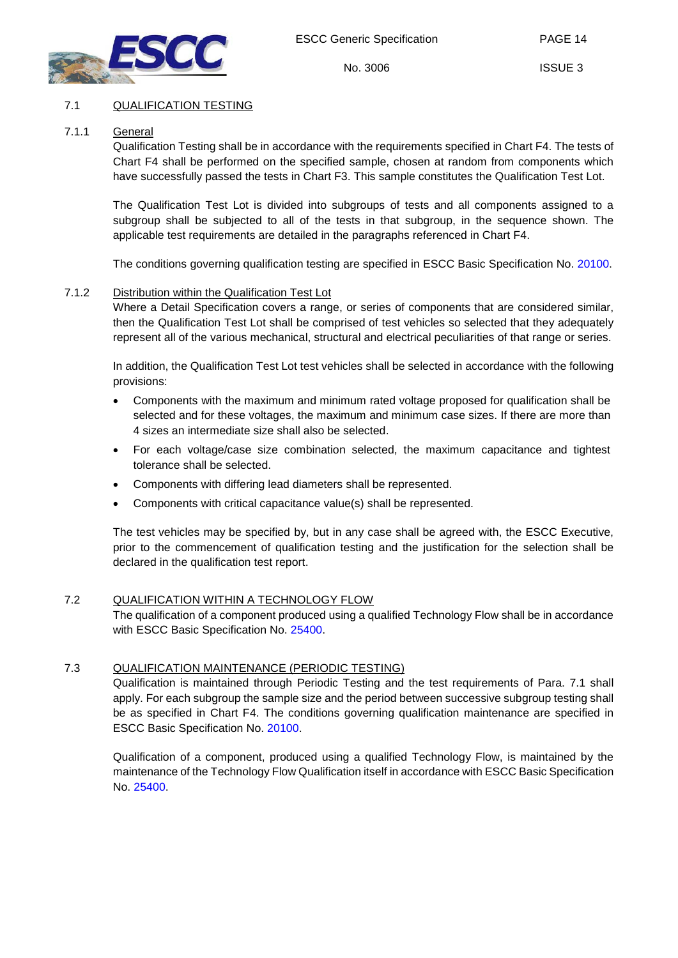

PAGE 14

## <span id="page-13-1"></span><span id="page-13-0"></span>7.1 QUALIFICATION TESTING

## 7.1.1 General

Qualification Testing shall be in accordance with the requirements specified in Chart F4. The tests of Chart F4 shall be performed on the specified sample, chosen at random from components which have successfully passed the tests in Chart F3. This sample constitutes the Qualification Test Lot.

The Qualification Test Lot is divided into subgroups of tests and all components assigned to a subgroup shall be subjected to all of the tests in that subgroup, in the sequence shown. The applicable test requirements are detailed in the paragraphs referenced in Chart F4.

The conditions governing qualification testing are specified in ESCC Basic Specification No. [20100.](http://escies.org/escc-specs/published/20100.pdf)

#### <span id="page-13-2"></span>7.1.2 Distribution within the Qualification Test Lot

Where a Detail Specification covers a range, or series of components that are considered similar, then the Qualification Test Lot shall be comprised of test vehicles so selected that they adequately represent all of the various mechanical, structural and electrical peculiarities of that range or series.

In addition, the Qualification Test Lot test vehicles shall be selected in accordance with the following provisions:

- Components with the maximum and minimum rated voltage proposed for qualification shall be selected and for these voltages, the maximum and minimum case sizes. If there are more than 4 sizes an intermediate size shall also be selected.
- For each voltage/case size combination selected, the maximum capacitance and tightest tolerance shall be selected.
- Components with differing lead diameters shall be represented.
- Components with critical capacitance value(s) shall be represented.

The test vehicles may be specified by, but in any case shall be agreed with, the ESCC Executive, prior to the commencement of qualification testing and the justification for the selection shall be declared in the qualification test report.

#### <span id="page-13-3"></span>7.2 QUALIFICATION WITHIN A TECHNOLOGY FLOW

The qualification of a component produced using a qualified Technology Flow shall be in accordance with ESCC Basic Specification No. [25400.](http://escies.org/escc-specs/published/25400.pdf)

#### <span id="page-13-4"></span>7.3 QUALIFICATION MAINTENANCE (PERIODIC TESTING)

Qualification is maintained through Periodic Testing and the test requirements of Para. [7.1](#page-13-0) shall apply. For each subgroup the sample size and the period between successive subgroup testing shall be as specified in Chart F4. The conditions governing qualification maintenance are specified in ESCC Basic Specification No. [20100.](http://escies.org/escc-specs/published/20100.pdf)

Qualification of a component, produced using a qualified Technology Flow, is maintained by the maintenance of the Technology Flow Qualification itself in accordance with ESCC Basic Specification No. [25400.](http://escies.org/escc-specs/published/25400.pdf)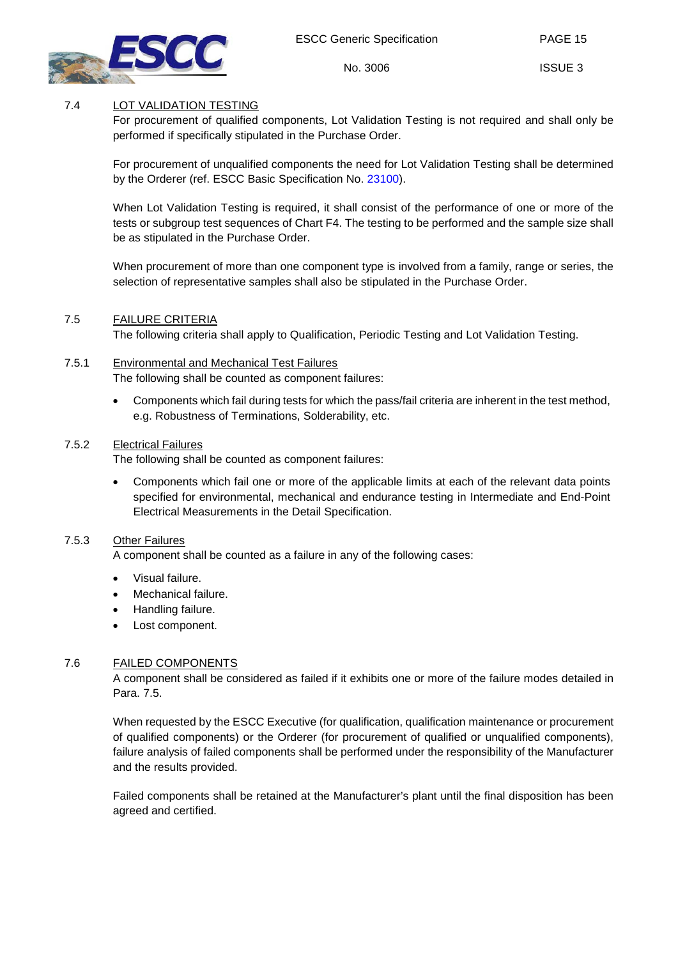

PAGE 15

## <span id="page-14-0"></span>7.4 LOT VALIDATION TESTING

For procurement of qualified components, Lot Validation Testing is not required and shall only be performed if specifically stipulated in the Purchase Order.

For procurement of unqualified components the need for Lot Validation Testing shall be determined by the Orderer (ref. ESCC Basic Specification No. [23100\)](http://escies.org/escc-specs/published/23100.pdf).

When Lot Validation Testing is required, it shall consist of the performance of one or more of the tests or subgroup test sequences of Chart F4. The testing to be performed and the sample size shall be as stipulated in the Purchase Order.

When procurement of more than one component type is involved from a family, range or series, the selection of representative samples shall also be stipulated in the Purchase Order.

## <span id="page-14-1"></span>7.5 FAILURE CRITERIA

The following criteria shall apply to Qualification, Periodic Testing and Lot Validation Testing.

## <span id="page-14-2"></span>7.5.1 Environmental and Mechanical Test Failures

The following shall be counted as component failures:

• Components which fail during tests for which the pass/fail criteria are inherent in the test method, e.g. Robustness of Terminations, Solderability, etc.

#### <span id="page-14-3"></span>7.5.2 Electrical Failures

The following shall be counted as component failures:

• Components which fail one or more of the applicable limits at each of the relevant data points specified for environmental, mechanical and endurance testing in Intermediate and End-Point Electrical Measurements in the Detail Specification.

## <span id="page-14-4"></span>7.5.3 Other Failures

A component shall be counted as a failure in any of the following cases:

- Visual failure.
- Mechanical failure.
- Handling failure.
- Lost component.

#### <span id="page-14-5"></span>7.6 FAILED COMPONENTS

A component shall be considered as failed if it exhibits one or more of the failure modes detailed in Para. [7.5.](#page-14-1)

When requested by the ESCC Executive (for qualification, qualification maintenance or procurement of qualified components) or the Orderer (for procurement of qualified or unqualified components), failure analysis of failed components shall be performed under the responsibility of the Manufacturer and the results provided.

Failed components shall be retained at the Manufacturer's plant until the final disposition has been agreed and certified.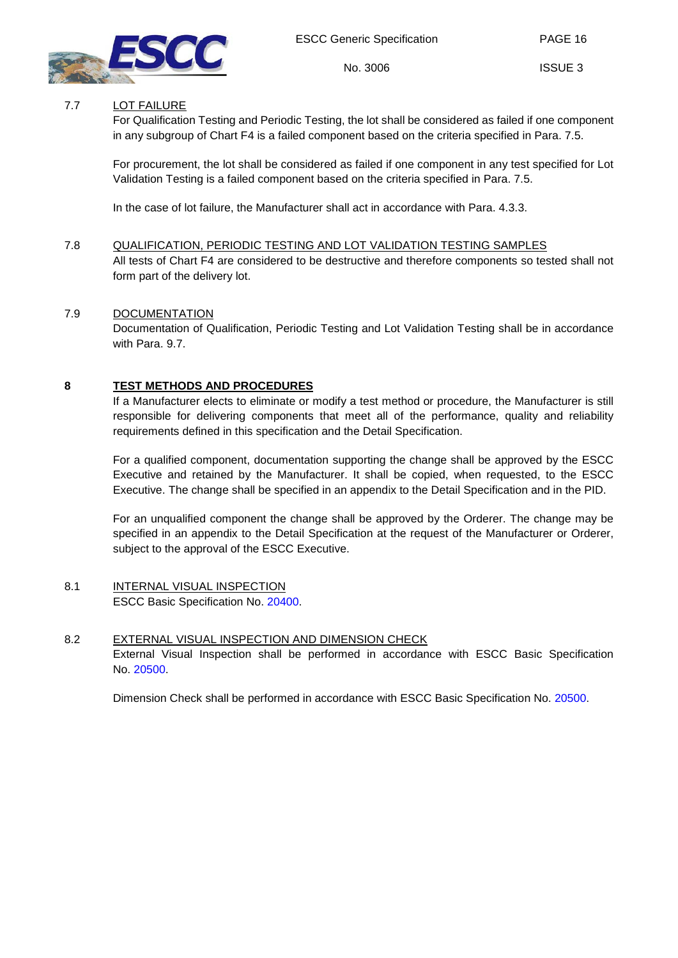

PAGE 16

ISSUE 3

## <span id="page-15-0"></span>7.7 LOT FAILURE

For Qualification Testing and Periodic Testing, the lot shall be considered as failed if one component in any subgroup of Chart F4 is a failed component based on the criteria specified in Para. [7.5.](#page-14-1)

For procurement, the lot shall be considered as failed if one component in any test specified for Lot Validation Testing is a failed component based on the criteria specified in Para. [7.5.](#page-14-1)

In the case of lot failure, the Manufacturer shall act in accordance with Para. [4.3.3.](#page-10-1)

## <span id="page-15-1"></span>7.8 QUALIFICATION, PERIODIC TESTING AND LOT VALIDATION TESTING SAMPLES

All tests of Chart F4 are considered to be destructive and therefore components so tested shall not form part of the delivery lot.

## <span id="page-15-2"></span>7.9 DOCUMENTATION

Documentation of Qualification, Periodic Testing and Lot Validation Testing shall be in accordance with Para. [9.7.](#page-24-5)

## <span id="page-15-3"></span>**8 TEST METHODS AND PROCEDURES**

If a Manufacturer elects to eliminate or modify a test method or procedure, the Manufacturer is still responsible for delivering components that meet all of the performance, quality and reliability requirements defined in this specification and the Detail Specification.

For a qualified component, documentation supporting the change shall be approved by the ESCC Executive and retained by the Manufacturer. It shall be copied, when requested, to the ESCC Executive. The change shall be specified in an appendix to the Detail Specification and in the PID.

For an unqualified component the change shall be approved by the Orderer. The change may be specified in an appendix to the Detail Specification at the request of the Manufacturer or Orderer, subject to the approval of the ESCC Executive.

#### <span id="page-15-4"></span>8.1 INTERNAL VISUAL INSPECTION ESCC Basic Specification No. [20400.](http://escies.org/escc-specs/published/20400.pdf)

## <span id="page-15-5"></span>8.2 EXTERNAL VISUAL INSPECTION AND DIMENSION CHECK External Visual Inspection shall be performed in accordance with ESCC Basic Specification No. [20500.](http://escies.org/escc-specs/published/20500.pdf)

Dimension Check shall be performed in accordance with ESCC Basic Specification No. [20500.](http://escies.org/escc-specs/published/20500.pdf)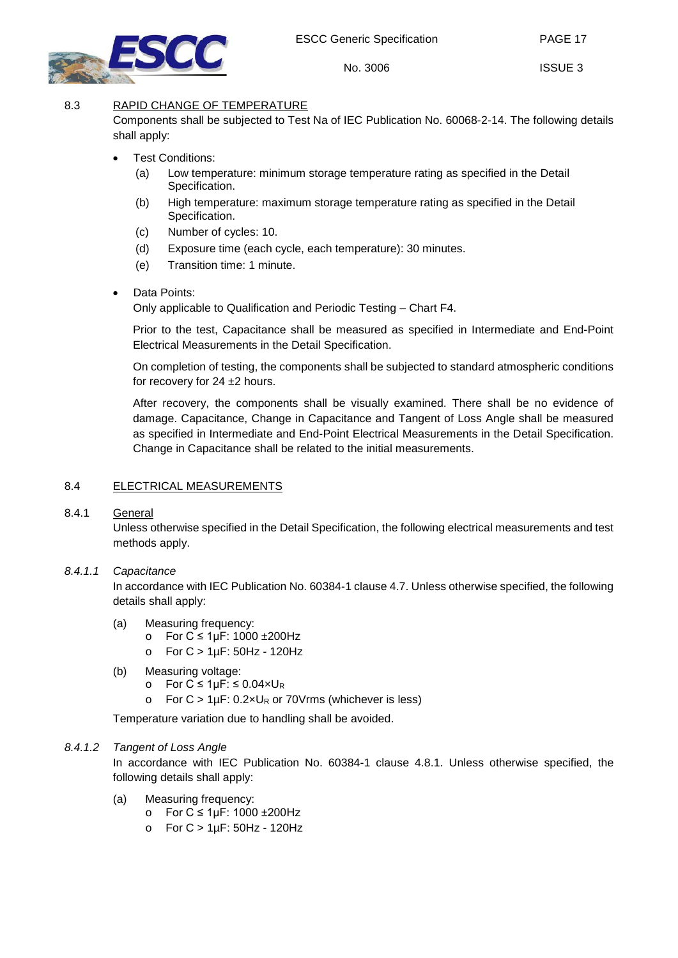



PAGE 17

ISSUE 3

## <span id="page-16-0"></span>8.3 RAPID CHANGE OF TEMPERATURE

Components shall be subjected to Test Na of IEC Publication No. 60068-2-14. The following details shall apply:

No. 3006

- Test Conditions:
	- (a) Low temperature: minimum storage temperature rating as specified in the Detail Specification.
	- (b) High temperature: maximum storage temperature rating as specified in the Detail Specification.
	- (c) Number of cycles: 10.
	- (d) Exposure time (each cycle, each temperature): 30 minutes.
	- (e) Transition time: 1 minute.
- Data Points:

Only applicable to Qualification and Periodic Testing – Chart F4.

Prior to the test, Capacitance shall be measured as specified in Intermediate and End-Point Electrical Measurements in the Detail Specification.

On completion of testing, the components shall be subjected to standard atmospheric conditions for recovery for 24 ±2 hours.

After recovery, the components shall be visually examined. There shall be no evidence of damage. Capacitance, Change in Capacitance and Tangent of Loss Angle shall be measured as specified in Intermediate and End-Point Electrical Measurements in the Detail Specification. Change in Capacitance shall be related to the initial measurements.

## <span id="page-16-1"></span>8.4 ELECTRICAL MEASUREMENTS

## <span id="page-16-2"></span>8.4.1 General

Unless otherwise specified in the Detail Specification, the following electrical measurements and test methods apply.

## <span id="page-16-3"></span>*8.4.1.1 Capacitance*

In accordance with IEC Publication No. 60384-1 clause 4.7. Unless otherwise specified, the following details shall apply:

- (a) Measuring frequency:
	- o For C ≤ 1µF: 1000 ±200Hz
	- o For C > 1µF: 50Hz 120Hz
- (b) Measuring voltage:
	- o For  $C \le 1 \mu F$ : ≤ 0.04×UR
	- o For  $C > 1 \mu F$ : 0.2×U<sub>R</sub> or 70Vrms (whichever is less)

Temperature variation due to handling shall be avoided.

## <span id="page-16-4"></span>*8.4.1.2 Tangent of Loss Angle*

In accordance with IEC Publication No. 60384-1 clause 4.8.1. Unless otherwise specified, the following details shall apply:

- (a) Measuring frequency:
	- o For C ≤ 1µF: 1000 ±200Hz
	- o For C > 1µF: 50Hz 120Hz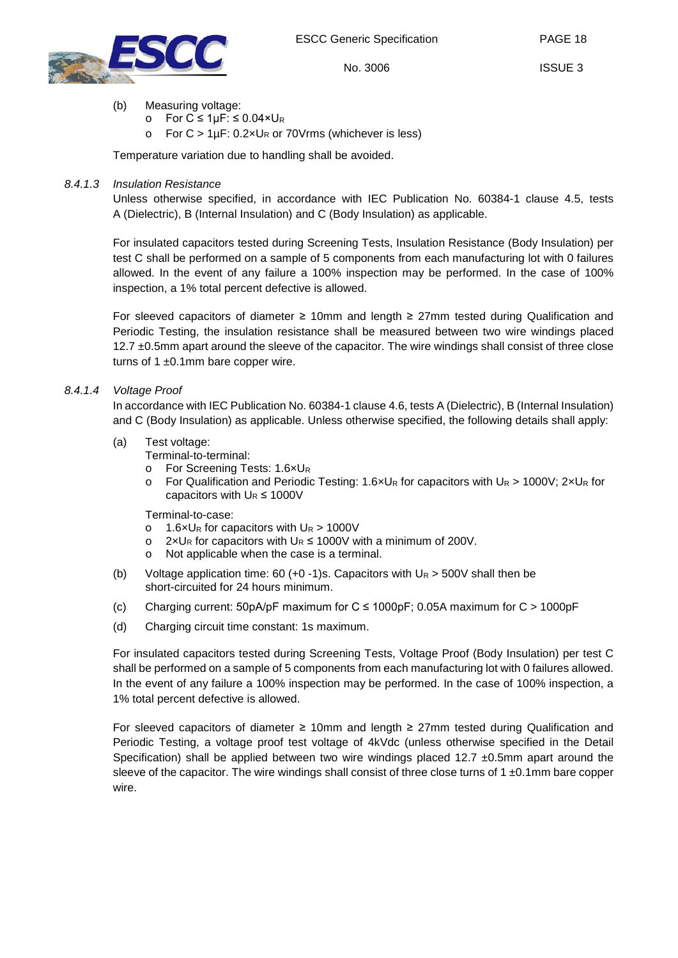

ISSUE 3

- (b) Measuring voltage:
	- o For C ≤ 1µF: ≤ 0.04×U<sup>R</sup>
	- For  $C > 1 \mu F$ : 0.2×U<sub>R</sub> or 70Vrms (whichever is less)

Temperature variation due to handling shall be avoided.

#### <span id="page-17-0"></span>*8.4.1.3 Insulation Resistance*

Unless otherwise specified, in accordance with IEC Publication No. 60384-1 clause 4.5, tests A (Dielectric), B (Internal Insulation) and C (Body Insulation) as applicable.

For insulated capacitors tested during Screening Tests, Insulation Resistance (Body Insulation) per test C shall be performed on a sample of 5 components from each manufacturing lot with 0 failures allowed. In the event of any failure a 100% inspection may be performed. In the case of 100% inspection, a 1% total percent defective is allowed.

For sleeved capacitors of diameter ≥ 10mm and length ≥ 27mm tested during Qualification and Periodic Testing, the insulation resistance shall be measured between two wire windings placed 12.7  $\pm$ 0.5mm apart around the sleeve of the capacitor. The wire windings shall consist of three close turns of 1 $\pm$ 0.1mm bare copper wire.

#### <span id="page-17-1"></span>*8.4.1.4 Voltage Proof*

In accordance with IEC Publication No. 60384-1 clause 4.6, tests A (Dielectric), B (Internal Insulation) and C (Body Insulation) as applicable. Unless otherwise specified, the following details shall apply:

- (a) Test voltage:
	- Terminal-to-terminal:
	- o For Screening Tests: 1.6×UR<br>○ For Qualification and Periodic
	- For Qualification and Periodic Testing: 1.6×U<sub>R</sub> for capacitors with U<sub>R</sub> > 1000V; 2×U<sub>R</sub> for capacitors with  $U_R \le 1000V$

Terminal-to-case:

- $\circ$  1.6×U<sub>R</sub> for capacitors with U<sub>R</sub> > 1000V
- o  $2 \times U_R$  for capacitors with  $U_R$  ≤ 1000V with a minimum of 200V.
- o Not applicable when the case is a terminal.
- (b) Voltage application time:  $60 (+0 -1)s$ . Capacitors with  $U_R > 500V$  shall then be short-circuited for 24 hours minimum.
- (c) Charging current:  $50pA/pF$  maximum for  $C \le 1000pF$ ; 0.05A maximum for  $C > 1000pF$
- (d) Charging circuit time constant: 1s maximum.

For insulated capacitors tested during Screening Tests, Voltage Proof (Body Insulation) per test C shall be performed on a sample of 5 components from each manufacturing lot with 0 failures allowed. In the event of any failure a 100% inspection may be performed. In the case of 100% inspection, a 1% total percent defective is allowed.

For sleeved capacitors of diameter ≥ 10mm and length ≥ 27mm tested during Qualification and Periodic Testing, a voltage proof test voltage of 4kVdc (unless otherwise specified in the Detail Specification) shall be applied between two wire windings placed  $12.7 \pm 0.5$ mm apart around the sleeve of the capacitor. The wire windings shall consist of three close turns of  $1 \pm 0.1$ mm bare copper wire.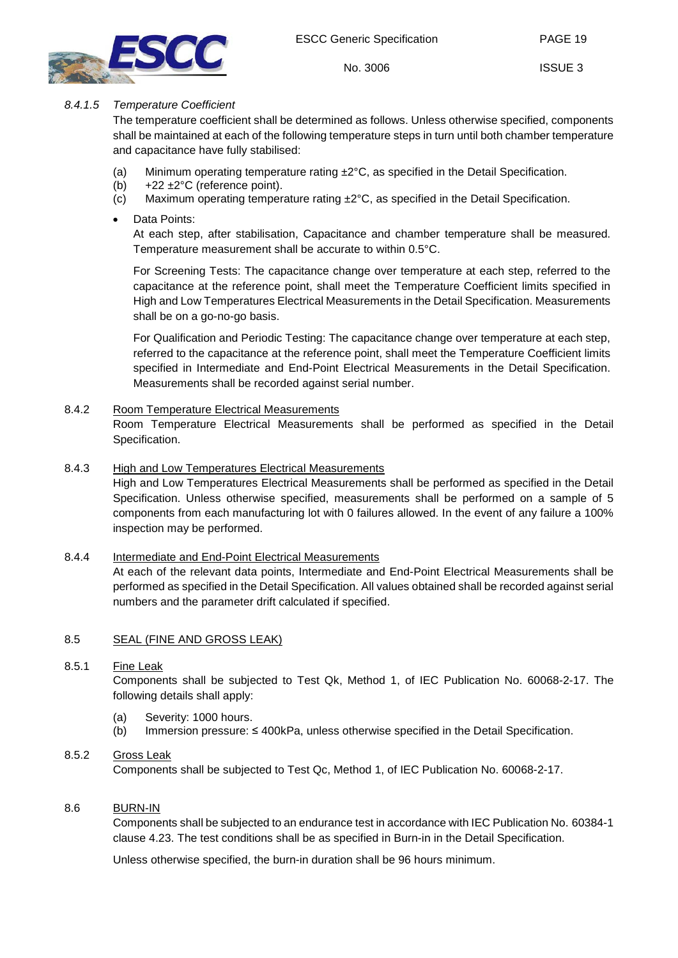



PAGE 19

ISSUE 3

## <span id="page-18-0"></span>*8.4.1.5 Temperature Coefficient*

The temperature coefficient shall be determined as follows. Unless otherwise specified, components shall be maintained at each of the following temperature steps in turn until both chamber temperature and capacitance have fully stabilised:

- (a) Minimum operating temperature rating  $\pm 2^{\circ}C$ , as specified in the Detail Specification.
- (b)  $+22 \pm 2^{\circ}$ C (reference point).
- (c) Maximum operating temperature rating  $\pm 2^{\circ}$ C, as specified in the Detail Specification.
- Data Points:

At each step, after stabilisation, Capacitance and chamber temperature shall be measured. Temperature measurement shall be accurate to within 0.5°C.

For Screening Tests: The capacitance change over temperature at each step, referred to the capacitance at the reference point, shall meet the Temperature Coefficient limits specified in High and Low Temperatures Electrical Measurements in the Detail Specification. Measurements shall be on a go-no-go basis.

For Qualification and Periodic Testing: The capacitance change over temperature at each step, referred to the capacitance at the reference point, shall meet the Temperature Coefficient limits specified in Intermediate and End-Point Electrical Measurements in the Detail Specification. Measurements shall be recorded against serial number.

## <span id="page-18-1"></span>8.4.2 Room Temperature Electrical Measurements

Room Temperature Electrical Measurements shall be performed as specified in the Detail Specification.

## <span id="page-18-2"></span>8.4.3 High and Low Temperatures Electrical Measurements

High and Low Temperatures Electrical Measurements shall be performed as specified in the Detail Specification. Unless otherwise specified, measurements shall be performed on a sample of 5 components from each manufacturing lot with 0 failures allowed. In the event of any failure a 100% inspection may be performed.

## <span id="page-18-3"></span>8.4.4 Intermediate and End-Point Electrical Measurements

At each of the relevant data points, Intermediate and End-Point Electrical Measurements shall be performed as specified in the Detail Specification. All values obtained shall be recorded against serial numbers and the parameter drift calculated if specified.

## <span id="page-18-4"></span>8.5 SEAL (FINE AND GROSS LEAK)

## <span id="page-18-5"></span>8.5.1 Fine Leak

Components shall be subjected to Test Qk, Method 1, of IEC Publication No. 60068-2-17. The following details shall apply:

- (a) Severity: 1000 hours.
- (b) Immersion pressure: ≤ 400kPa, unless otherwise specified in the Detail Specification.

## <span id="page-18-6"></span>8.5.2 Gross Leak

Components shall be subjected to Test Qc, Method 1, of IEC Publication No. 60068-2-17.

## <span id="page-18-7"></span>8.6 BURN-IN

Components shall be subjected to an endurance test in accordance with IEC Publication No. 60384-1 clause 4.23. The test conditions shall be as specified in Burn-in in the Detail Specification.

Unless otherwise specified, the burn-in duration shall be 96 hours minimum.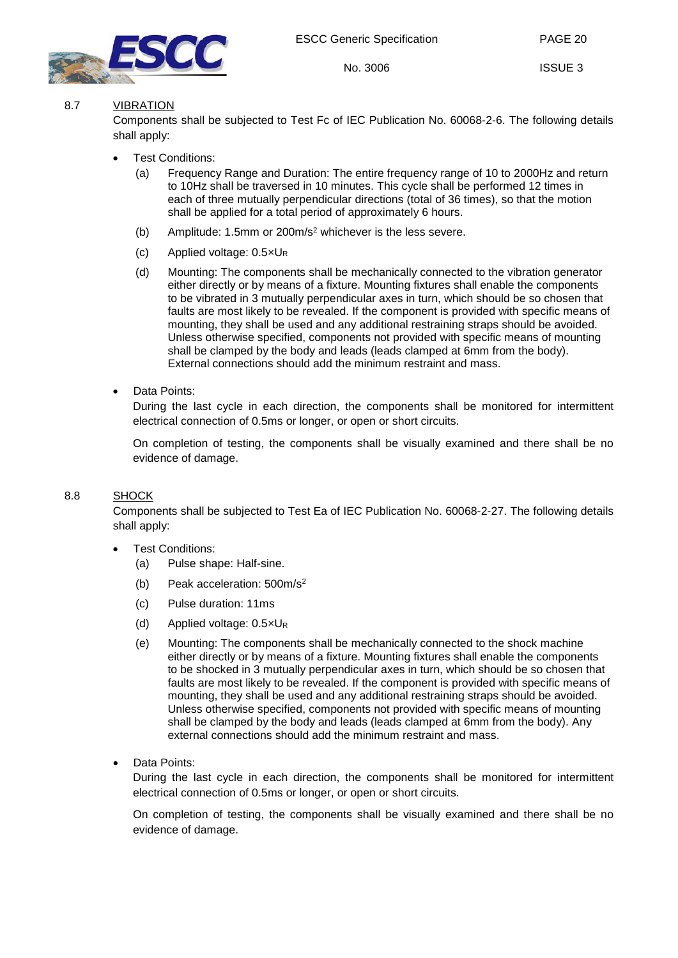

PAGE 20

## <span id="page-19-0"></span>8.7 VIBRATION

Components shall be subjected to Test Fc of IEC Publication No. 60068-2-6. The following details shall apply:

- **Test Conditions:** 
	- (a) Frequency Range and Duration: The entire frequency range of 10 to 2000Hz and return to 10Hz shall be traversed in 10 minutes. This cycle shall be performed 12 times in each of three mutually perpendicular directions (total of 36 times), so that the motion shall be applied for a total period of approximately 6 hours.
	- (b) Amplitude: 1.5mm or 200m/s2 whichever is the less severe.
	- (c) Applied voltage:  $0.5 \times U_R$
	- (d) Mounting: The components shall be mechanically connected to the vibration generator either directly or by means of a fixture. Mounting fixtures shall enable the components to be vibrated in 3 mutually perpendicular axes in turn, which should be so chosen that faults are most likely to be revealed. If the component is provided with specific means of mounting, they shall be used and any additional restraining straps should be avoided. Unless otherwise specified, components not provided with specific means of mounting shall be clamped by the body and leads (leads clamped at 6mm from the body). External connections should add the minimum restraint and mass.
- Data Points:

During the last cycle in each direction, the components shall be monitored for intermittent electrical connection of 0.5ms or longer, or open or short circuits.

On completion of testing, the components shall be visually examined and there shall be no evidence of damage.

#### <span id="page-19-1"></span>8.8 SHOCK

Components shall be subjected to Test Ea of IEC Publication No. 60068-2-27. The following details shall apply:

- Test Conditions:
	- (a) Pulse shape: Half-sine.
	- (b) Peak acceleration: 500m/s2
	- (c) Pulse duration: 11ms
	- (d) Applied voltage: 0.5×UR
	- (e) Mounting: The components shall be mechanically connected to the shock machine either directly or by means of a fixture. Mounting fixtures shall enable the components to be shocked in 3 mutually perpendicular axes in turn, which should be so chosen that faults are most likely to be revealed. If the component is provided with specific means of mounting, they shall be used and any additional restraining straps should be avoided. Unless otherwise specified, components not provided with specific means of mounting shall be clamped by the body and leads (leads clamped at 6mm from the body). Any external connections should add the minimum restraint and mass.
- Data Points:

During the last cycle in each direction, the components shall be monitored for intermittent electrical connection of 0.5ms or longer, or open or short circuits.

On completion of testing, the components shall be visually examined and there shall be no evidence of damage.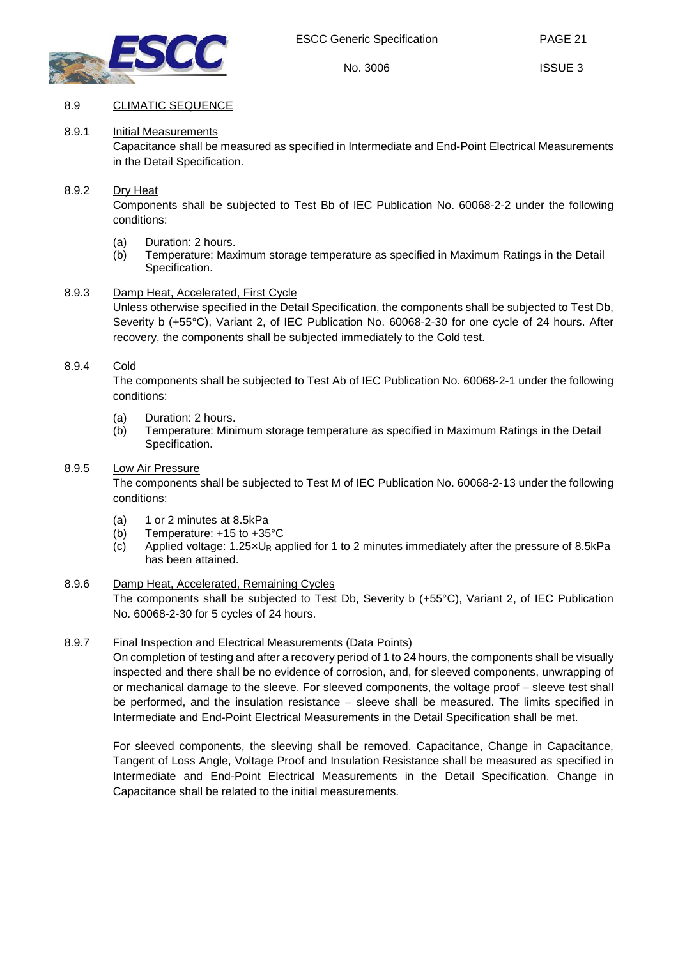

PAGE 21

## <span id="page-20-1"></span><span id="page-20-0"></span>8.9 CLIMATIC SEQUENCE

## 8.9.1 Initial Measurements

Capacitance shall be measured as specified in Intermediate and End-Point Electrical Measurements in the Detail Specification.

#### <span id="page-20-2"></span>8.9.2 Dry Heat

Components shall be subjected to Test Bb of IEC Publication No. 60068-2-2 under the following conditions:

- (a) Duration: 2 hours.
- (b) Temperature: Maximum storage temperature as specified in Maximum Ratings in the Detail Specification.

#### <span id="page-20-3"></span>8.9.3 Damp Heat, Accelerated, First Cycle

Unless otherwise specified in the Detail Specification, the components shall be subjected to Test Db, Severity b (+55°C), Variant 2, of IEC Publication No. 60068-2-30 for one cycle of 24 hours. After recovery, the components shall be subjected immediately to the Cold test.

#### <span id="page-20-4"></span>8.9.4 Cold

The components shall be subjected to Test Ab of IEC Publication No. 60068-2-1 under the following conditions:

- (a) Duration: 2 hours.
- (b) Temperature: Minimum storage temperature as specified in Maximum Ratings in the Detail Specification.

#### <span id="page-20-5"></span>8.9.5 Low Air Pressure

The components shall be subjected to Test M of IEC Publication No. 60068-2-13 under the following conditions:

- (a) 1 or 2 minutes at 8.5kPa
- (b) Temperature: +15 to +35°C
- (c) Applied voltage: 1.25×UR applied for 1 to 2 minutes immediately after the pressure of 8.5kPa has been attained.

#### <span id="page-20-6"></span>8.9.6 Damp Heat, Accelerated, Remaining Cycles

The components shall be subjected to Test Db, Severity b (+55°C), Variant 2, of IEC Publication No. 60068-2-30 for 5 cycles of 24 hours.

## <span id="page-20-7"></span>8.9.7 Final Inspection and Electrical Measurements (Data Points)

On completion of testing and after a recovery period of 1 to 24 hours, the components shall be visually inspected and there shall be no evidence of corrosion, and, for sleeved components, unwrapping of or mechanical damage to the sleeve. For sleeved components, the voltage proof – sleeve test shall be performed, and the insulation resistance – sleeve shall be measured. The limits specified in Intermediate and End-Point Electrical Measurements in the Detail Specification shall be met.

For sleeved components, the sleeving shall be removed. Capacitance, Change in Capacitance, Tangent of Loss Angle, Voltage Proof and Insulation Resistance shall be measured as specified in Intermediate and End-Point Electrical Measurements in the Detail Specification. Change in Capacitance shall be related to the initial measurements.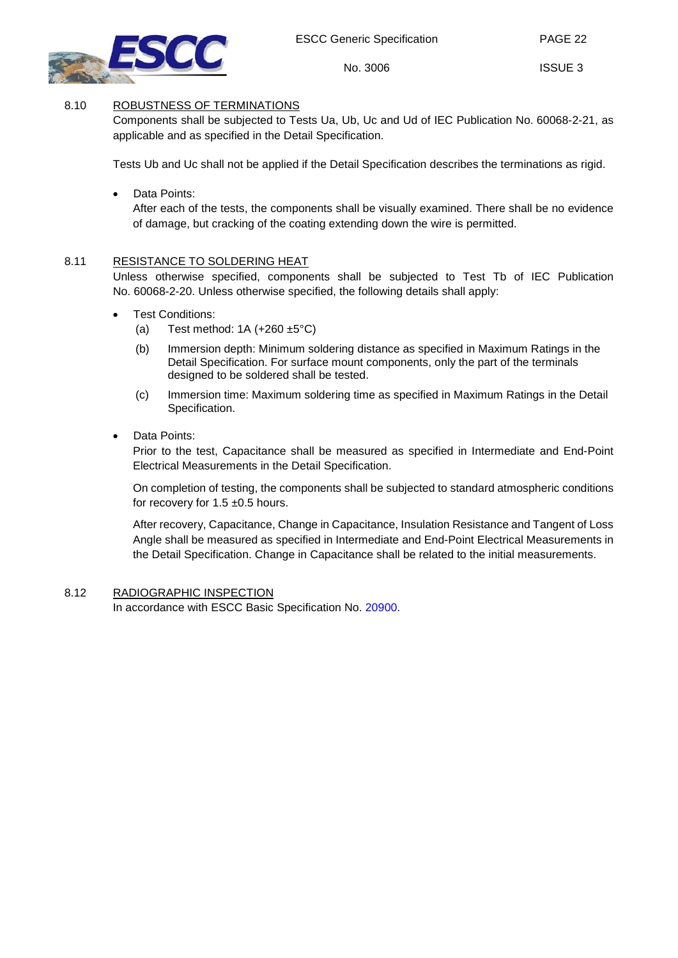

PAGE 22

ISSUE 3

## 8.10 ROBUSTNESS OF TERMINATIONS

<span id="page-21-0"></span>Components shall be subjected to Tests Ua, Ub, Uc and Ud of IEC Publication No. 60068-2-21, as applicable and as specified in the Detail Specification.

Tests Ub and Uc shall not be applied if the Detail Specification describes the terminations as rigid.

## Data Points:

After each of the tests, the components shall be visually examined. There shall be no evidence of damage, but cracking of the coating extending down the wire is permitted.

## <span id="page-21-1"></span>8.11 RESISTANCE TO SOLDERING HEAT

Unless otherwise specified, components shall be subjected to Test Tb of IEC Publication No. 60068-2-20. Unless otherwise specified, the following details shall apply:

- Test Conditions:
	- (a) Test method:  $1A (+260 \pm 5^{\circ}C)$
	- (b) Immersion depth: Minimum soldering distance as specified in Maximum Ratings in the Detail Specification. For surface mount components, only the part of the terminals designed to be soldered shall be tested.
	- (c) Immersion time: Maximum soldering time as specified in Maximum Ratings in the Detail Specification.

## Data Points:

Prior to the test, Capacitance shall be measured as specified in Intermediate and End-Point Electrical Measurements in the Detail Specification.

On completion of testing, the components shall be subjected to standard atmospheric conditions for recovery for 1.5  $\pm$ 0.5 hours.

After recovery, Capacitance, Change in Capacitance, Insulation Resistance and Tangent of Loss Angle shall be measured as specified in Intermediate and End-Point Electrical Measurements in the Detail Specification. Change in Capacitance shall be related to the initial measurements.

## <span id="page-21-2"></span>8.12 RADIOGRAPHIC INSPECTION

In accordance with ESCC Basic Specification No. [20900.](http://escies.org/escc-specs/published/20900.pdf)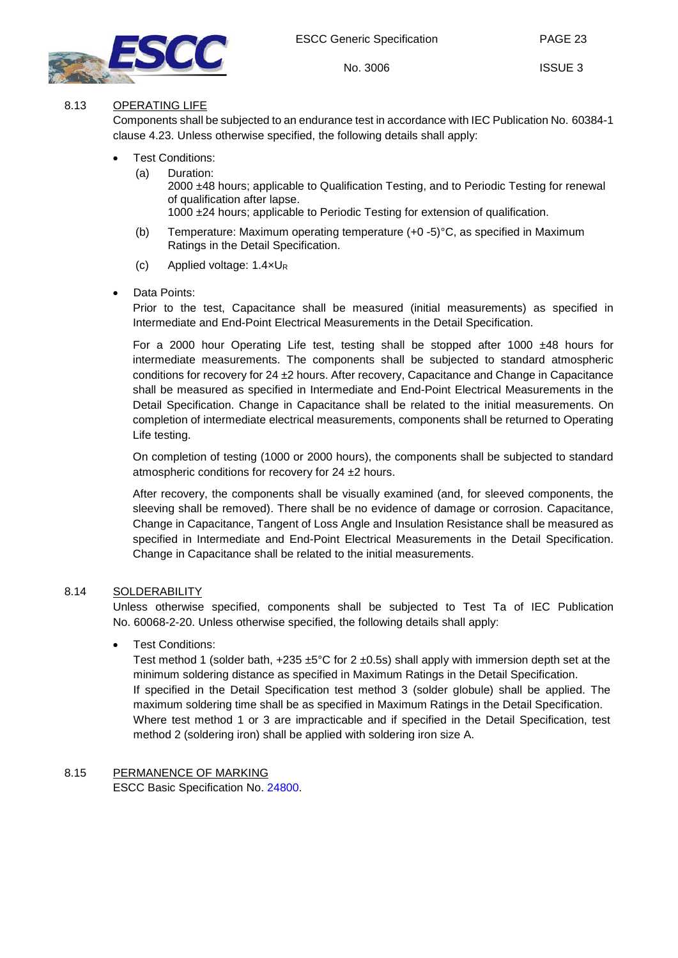

PAGE 23

## <span id="page-22-0"></span>8.13 OPERATING LIFE

Components shall be subjected to an endurance test in accordance with IEC Publication No. 60384-1 clause 4.23. Unless otherwise specified, the following details shall apply:

- Test Conditions:
	- (a) Duration: 2000 ±48 hours; applicable to Qualification Testing, and to Periodic Testing for renewal of qualification after lapse. 1000 ±24 hours; applicable to Periodic Testing for extension of qualification.
	- (b) Temperature: Maximum operating temperature (+0 -5)°C, as specified in Maximum Ratings in the Detail Specification.
	- (c) Applied voltage: 1.4×UR
- Data Points:

Prior to the test, Capacitance shall be measured (initial measurements) as specified in Intermediate and End-Point Electrical Measurements in the Detail Specification.

For a 2000 hour Operating Life test, testing shall be stopped after 1000  $\pm$ 48 hours for intermediate measurements. The components shall be subjected to standard atmospheric conditions for recovery for 24 ±2 hours. After recovery, Capacitance and Change in Capacitance shall be measured as specified in Intermediate and End-Point Electrical Measurements in the Detail Specification. Change in Capacitance shall be related to the initial measurements. On completion of intermediate electrical measurements, components shall be returned to Operating Life testing.

On completion of testing (1000 or 2000 hours), the components shall be subjected to standard atmospheric conditions for recovery for 24 ±2 hours.

After recovery, the components shall be visually examined (and, for sleeved components, the sleeving shall be removed). There shall be no evidence of damage or corrosion. Capacitance, Change in Capacitance, Tangent of Loss Angle and Insulation Resistance shall be measured as specified in Intermediate and End-Point Electrical Measurements in the Detail Specification. Change in Capacitance shall be related to the initial measurements.

## <span id="page-22-1"></span>8.14 SOLDERABILITY

Unless otherwise specified, components shall be subjected to Test Ta of IEC Publication No. 60068-2-20. Unless otherwise specified, the following details shall apply:

## • Test Conditions:

Test method 1 (solder bath,  $+235 \pm 5^{\circ}$ C for 2  $\pm$ 0.5s) shall apply with immersion depth set at the minimum soldering distance as specified in Maximum Ratings in the Detail Specification. If specified in the Detail Specification test method 3 (solder globule) shall be applied. The maximum soldering time shall be as specified in Maximum Ratings in the Detail Specification. Where test method 1 or 3 are impracticable and if specified in the Detail Specification, test method 2 (soldering iron) shall be applied with soldering iron size A.

## <span id="page-22-2"></span>8.15 PERMANENCE OF MARKING

ESCC Basic Specification No. [24800.](http://escies.org/escc-specs/published/24800.pdf)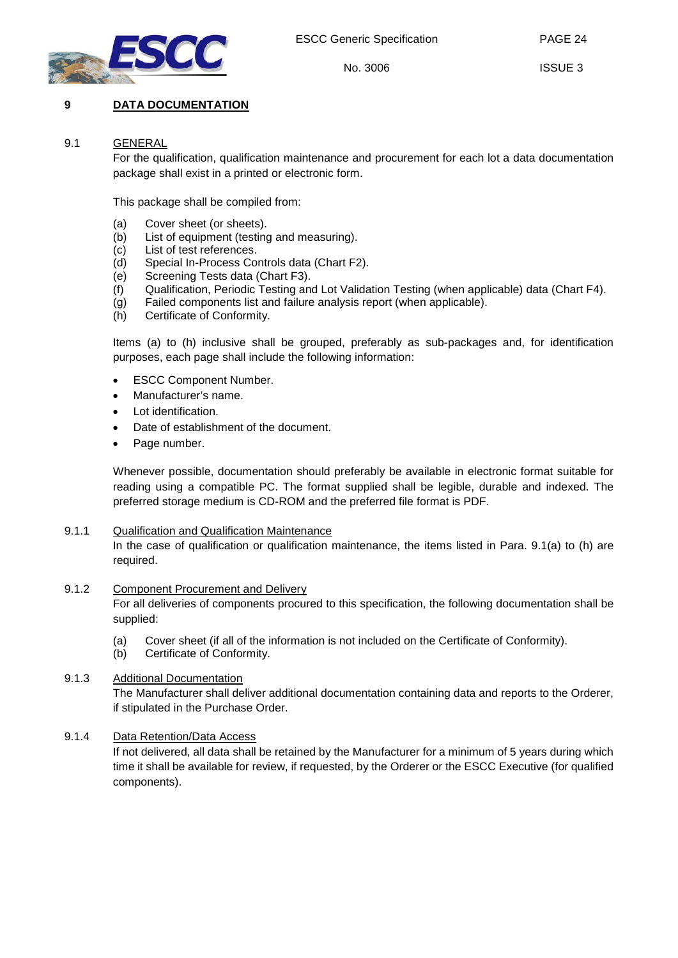

PAGE 24

No. 3006

## <span id="page-23-1"></span><span id="page-23-0"></span>**9 DATA DOCUMENTATION**

#### 9.1 GENERAL

For the qualification, qualification maintenance and procurement for each lot a data documentation package shall exist in a printed or electronic form.

This package shall be compiled from:

- (a) Cover sheet (or sheets).
- (b) List of equipment (testing and measuring).
- (c) List of test references.
- (d) Special In-Process Controls data (Chart F2).
- (e) Screening Tests data (Chart F3).
- (f) Qualification, Periodic Testing and Lot Validation Testing (when applicable) data (Chart F4).
- (g) Failed components list and failure analysis report (when applicable).
- (h) Certificate of Conformity.

Items (a) to (h) inclusive shall be grouped, preferably as sub-packages and, for identification purposes, each page shall include the following information:

- **ESCC Component Number.**
- Manufacturer's name.
- Lot identification.
- Date of establishment of the document.
- Page number.

Whenever possible, documentation should preferably be available in electronic format suitable for reading using a compatible PC. The format supplied shall be legible, durable and indexed. The preferred storage medium is CD-ROM and the preferred file format is PDF.

#### <span id="page-23-2"></span>9.1.1 Qualification and Qualification Maintenance

In the case of qualification or qualification maintenance, the items listed in Para. [9.1\(](#page-23-1)a) to (h) are required.

#### <span id="page-23-3"></span>9.1.2 Component Procurement and Delivery

For all deliveries of components procured to this specification, the following documentation shall be supplied:

- (a) Cover sheet (if all of the information is not included on the Certificate of Conformity).
- (b) Certificate of Conformity.

## <span id="page-23-4"></span>9.1.3 Additional Documentation

The Manufacturer shall deliver additional documentation containing data and reports to the Orderer, if stipulated in the Purchase Order.

## <span id="page-23-5"></span>9.1.4 Data Retention/Data Access

If not delivered, all data shall be retained by the Manufacturer for a minimum of 5 years during which time it shall be available for review, if requested, by the Orderer or the ESCC Executive (for qualified components).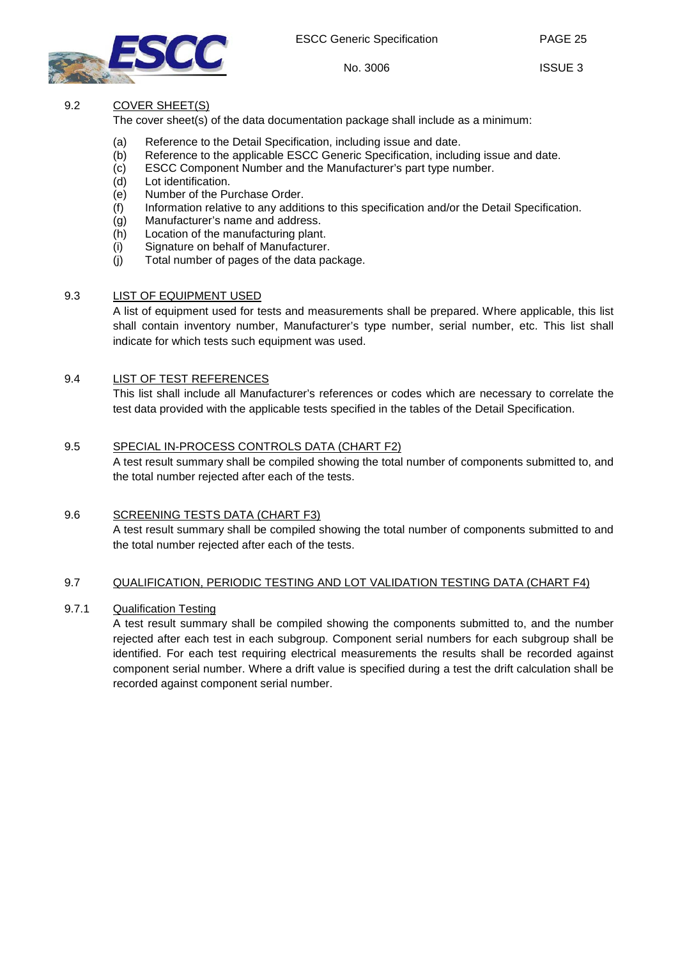

No. 3006

PAGE 25

ISSUE 3

## <span id="page-24-0"></span>9.2 COVER SHEET(S)

The cover sheet(s) of the data documentation package shall include as a minimum:

- (a) Reference to the Detail Specification, including issue and date.
- (b) Reference to the applicable ESCC Generic Specification, including issue and date.
- (c) ESCC Component Number and the Manufacturer's part type number.
- (d) Lot identification.
- (e) Number of the Purchase Order.<br>(f) Information relative to any additi
- Information relative to any additions to this specification and/or the Detail Specification.
- (g) Manufacturer's name and address.
- (h) Location of the manufacturing plant.
- (i) Signature on behalf of Manufacturer.<br>(i) Total number of pages of the data pa
- Total number of pages of the data package.

## <span id="page-24-1"></span>9.3 LIST OF EQUIPMENT USED

A list of equipment used for tests and measurements shall be prepared. Where applicable, this list shall contain inventory number, Manufacturer's type number, serial number, etc. This list shall indicate for which tests such equipment was used.

## <span id="page-24-2"></span>9.4 LIST OF TEST REFERENCES

This list shall include all Manufacturer's references or codes which are necessary to correlate the test data provided with the applicable tests specified in the tables of the Detail Specification.

## <span id="page-24-3"></span>9.5 SPECIAL IN-PROCESS CONTROLS DATA (CHART F2)

A test result summary shall be compiled showing the total number of components submitted to, and the total number rejected after each of the tests.

## <span id="page-24-4"></span>9.6 SCREENING TESTS DATA (CHART F3)

A test result summary shall be compiled showing the total number of components submitted to and the total number rejected after each of the tests.

## <span id="page-24-5"></span>9.7 QUALIFICATION, PERIODIC TESTING AND LOT VALIDATION TESTING DATA (CHART F4)

## <span id="page-24-6"></span>9.7.1 Qualification Testing

A test result summary shall be compiled showing the components submitted to, and the number rejected after each test in each subgroup. Component serial numbers for each subgroup shall be identified. For each test requiring electrical measurements the results shall be recorded against component serial number. Where a drift value is specified during a test the drift calculation shall be recorded against component serial number.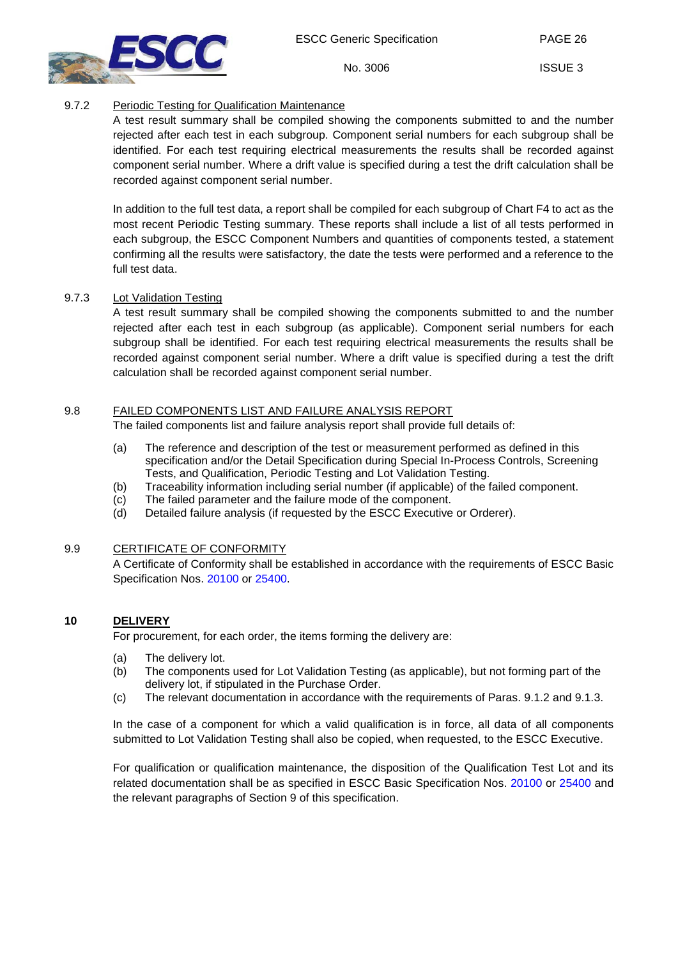No. 3006



## <span id="page-25-0"></span>9.7.2 Periodic Testing for Qualification Maintenance

A test result summary shall be compiled showing the components submitted to and the number rejected after each test in each subgroup. Component serial numbers for each subgroup shall be identified. For each test requiring electrical measurements the results shall be recorded against component serial number. Where a drift value is specified during a test the drift calculation shall be recorded against component serial number.

In addition to the full test data, a report shall be compiled for each subgroup of Chart F4 to act as the most recent Periodic Testing summary. These reports shall include a list of all tests performed in each subgroup, the ESCC Component Numbers and quantities of components tested, a statement confirming all the results were satisfactory, the date the tests were performed and a reference to the full test data.

## <span id="page-25-1"></span>9.7.3 Lot Validation Testing

A test result summary shall be compiled showing the components submitted to and the number rejected after each test in each subgroup (as applicable). Component serial numbers for each subgroup shall be identified. For each test requiring electrical measurements the results shall be recorded against component serial number. Where a drift value is specified during a test the drift calculation shall be recorded against component serial number.

## <span id="page-25-2"></span>9.8 FAILED COMPONENTS LIST AND FAILURE ANALYSIS REPORT

The failed components list and failure analysis report shall provide full details of:

- (a) The reference and description of the test or measurement performed as defined in this specification and/or the Detail Specification during Special In-Process Controls, Screening Tests, and Qualification, Periodic Testing and Lot Validation Testing.
- (b) Traceability information including serial number (if applicable) of the failed component.
- (c) The failed parameter and the failure mode of the component.
- (d) Detailed failure analysis (if requested by the ESCC Executive or Orderer).

## <span id="page-25-3"></span>9.9 CERTIFICATE OF CONFORMITY

A Certificate of Conformity shall be established in accordance with the requirements of ESCC Basic Specification Nos. [20100](http://escies.org/escc-specs/published/20100.pdf) or [25400.](http://escies.org/escc-specs/published/25400.pdf)

## <span id="page-25-4"></span>**10 DELIVERY**

For procurement, for each order, the items forming the delivery are:

- (a) The delivery lot.
- (b) The components used for Lot Validation Testing (as applicable), but not forming part of the delivery lot, if stipulated in the Purchase Order.
- (c) The relevant documentation in accordance with the requirements of Paras. [9.1.2](#page-23-3) and [9.1.3.](#page-23-4)

In the case of a component for which a valid qualification is in force, all data of all components submitted to Lot Validation Testing shall also be copied, when requested, to the ESCC Executive.

For qualification or qualification maintenance, the disposition of the Qualification Test Lot and its related documentation shall be as specified in ESCC Basic Specification Nos. [20100](http://escies.org/escc-specs/published/20100.pdf) or [25400](http://escies.org/escc-specs/published/25400.pdf) and the relevant paragraphs of Section [9](#page-23-0) of this specification.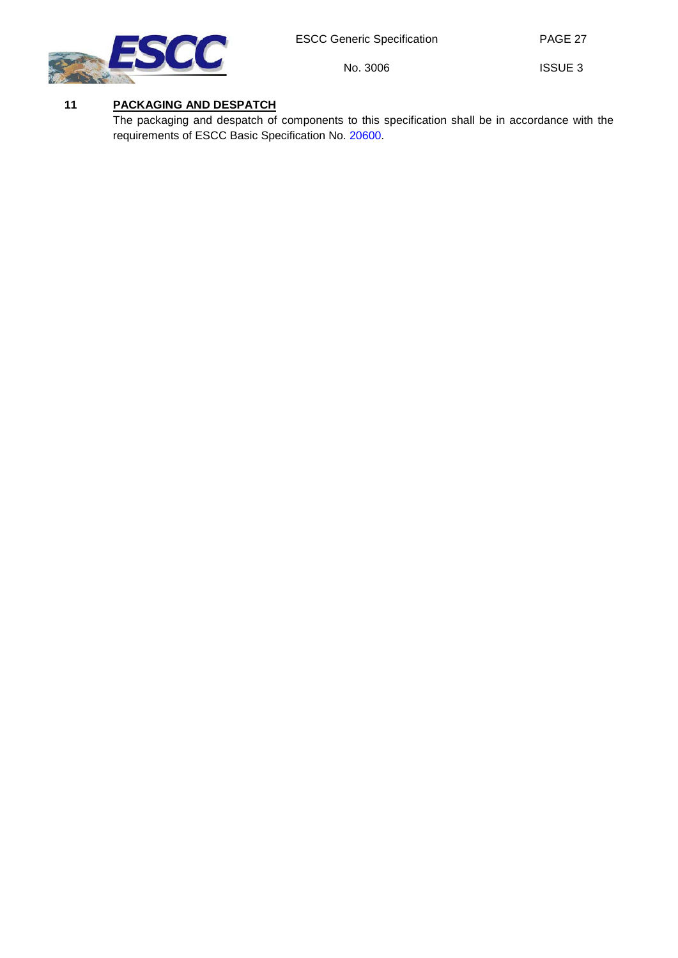No. 3006



ISSUE 3

PAGE 27

## <span id="page-26-0"></span>**11 PACKAGING AND DESPATCH**

The packaging and despatch of components to this specification shall be in accordance with the requirements of ESCC Basic Specification No. [20600.](http://escies.org/escc-specs/published/20600.pdf)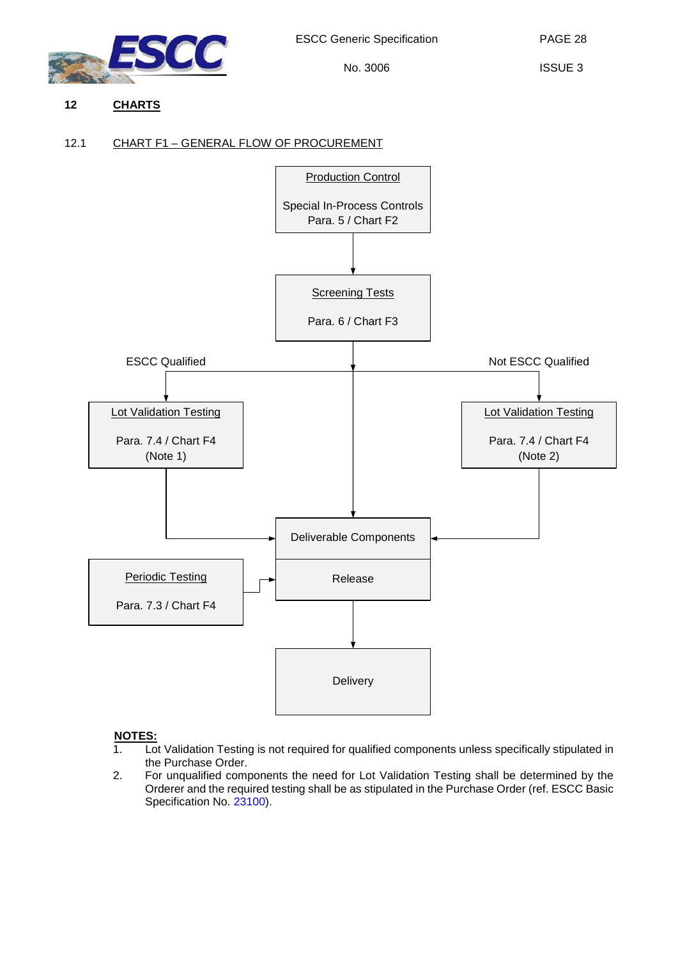

## <span id="page-27-1"></span><span id="page-27-0"></span>**12 CHARTS**

## 12.1 CHART F1 – GENERAL FLOW OF PROCUREMENT



## **NOTES:**

- 1. Lot Validation Testing is not required for qualified components unless specifically stipulated in the Purchase Order.
- 2. For unqualified components the need for Lot Validation Testing shall be determined by the Orderer and the required testing shall be as stipulated in the Purchase Order (ref. ESCC Basic Specification No. [23100\)](http://escies.org/escc-specs/published/23100.pdf).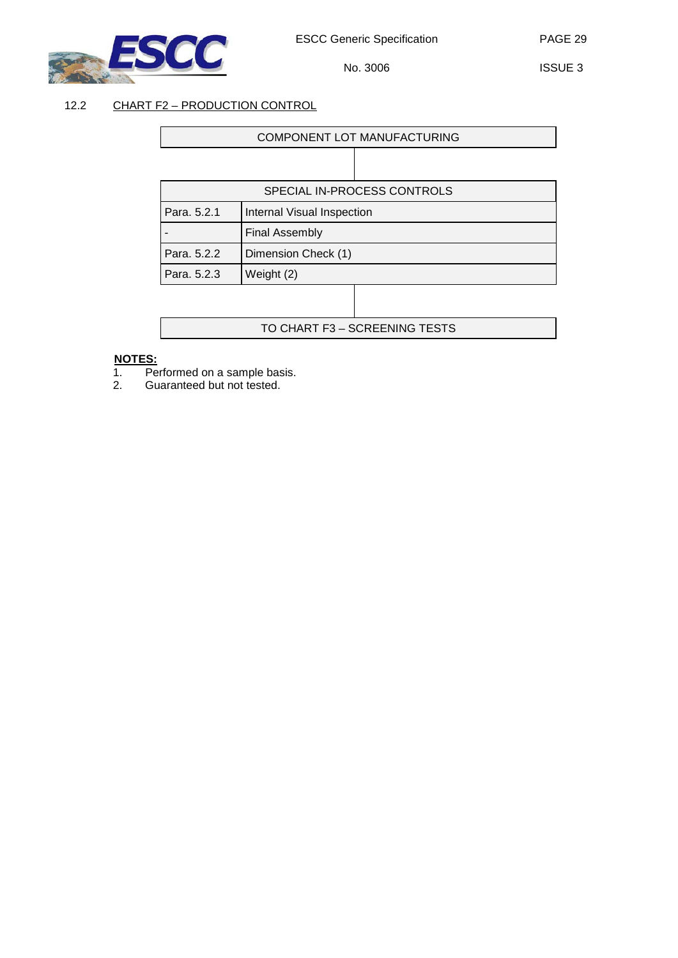

ISSUE 3

## <span id="page-28-0"></span>12.2 CHART F2 – PRODUCTION CONTROL

Г

| COMPONENT LOT MANUFACTURING |                            |  |
|-----------------------------|----------------------------|--|
|                             |                            |  |
| SPECIAL IN-PROCESS CONTROLS |                            |  |
| Para, 5.2.1                 | Internal Visual Inspection |  |
|                             | <b>Final Assembly</b>      |  |
| Para, 5.2.2                 | Dimension Check (1)        |  |
| Para, 5.2.3                 | Weight (2)                 |  |
|                             |                            |  |

TO CHART F3 – SCREENING TESTS

#### **NOTES:**

- 1. Performed on a sample basis.
- 2. Guaranteed but not tested.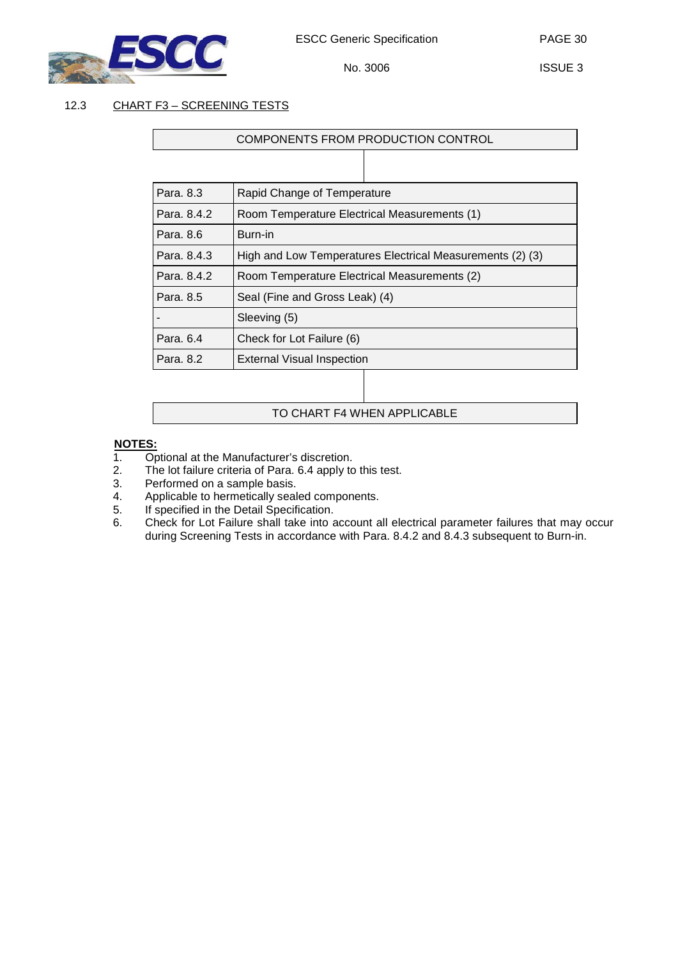

ISSUE 3

## <span id="page-29-0"></span>12.3 CHART F3 – SCREENING TESTS

## COMPONENTS FROM PRODUCTION CONTROL

| Para, 8.3   | Rapid Change of Temperature                               |  |
|-------------|-----------------------------------------------------------|--|
| Para, 8.4.2 | Room Temperature Electrical Measurements (1)              |  |
| Para, 8.6   | Burn-in                                                   |  |
| Para, 8.4.3 | High and Low Temperatures Electrical Measurements (2) (3) |  |
| Para, 8.4.2 | Room Temperature Electrical Measurements (2)              |  |
| Para, 8.5   | Seal (Fine and Gross Leak) (4)                            |  |
|             | Sleeving (5)                                              |  |
| Para, 6.4   | Check for Lot Failure (6)                                 |  |
| Para, 8.2   | <b>External Visual Inspection</b>                         |  |
|             |                                                           |  |

## TO CHART F4 WHEN APPLICABLE

# **NOTES:**<br>1. Or

- 1. Optional at the Manufacturer's discretion.<br>2. The lot failure criteria of Para. 6.4 apply to
- 2. The lot failure criteria of Para. [6.4](#page-12-3) apply to this test.<br>3. Performed on a sample basis.
- 3. Performed on a sample basis.<br>4. Applicable to hermetically seal
- 4. Applicable to hermetically sealed components.<br>5. If specified in the Detail Specification.
- 5. If specified in the Detail Specification.<br>6. Check for Lot Failure shall take into a
- 6. Check for Lot Failure shall take into account all electrical parameter failures that may occur during Screening Tests in accordance with Para. [8.4.2](#page-18-1) and [8.4.3](#page-18-2) subsequent to Burn-in.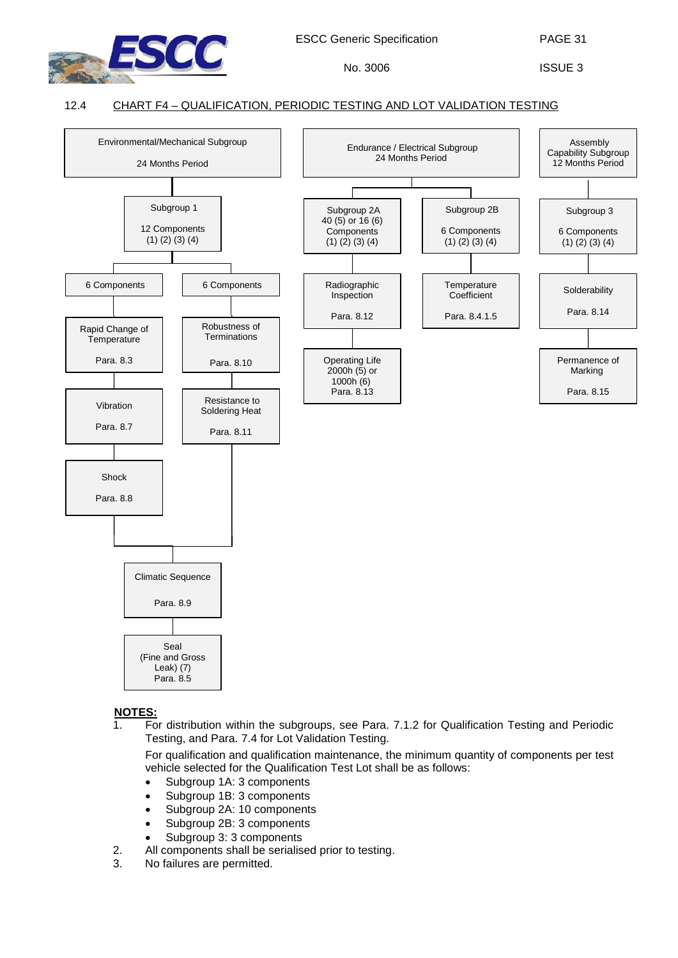

PAGE 31

ISSUE 3

## 12.4 CHART F4 – QUALIFICATION, PERIODIC TESTING AND LOT VALIDATION TESTING

<span id="page-30-0"></span>

## **NOTES:**

1. For distribution within the subgroups, see Para. [7.1.2](#page-13-2) for Qualification Testing and Periodic Testing, and Para. [7.4](#page-14-0) for Lot Validation Testing.

For qualification and qualification maintenance, the minimum quantity of components per test vehicle selected for the Qualification Test Lot shall be as follows:

- Subgroup 1A: 3 components
- Subgroup 1B: 3 components
- Subgroup 2A: 10 components
- Subgroup 2B: 3 components
- Subgroup 3: 3 components
- 2. All components shall be serialised prior to testing.
- 3. No failures are permitted.